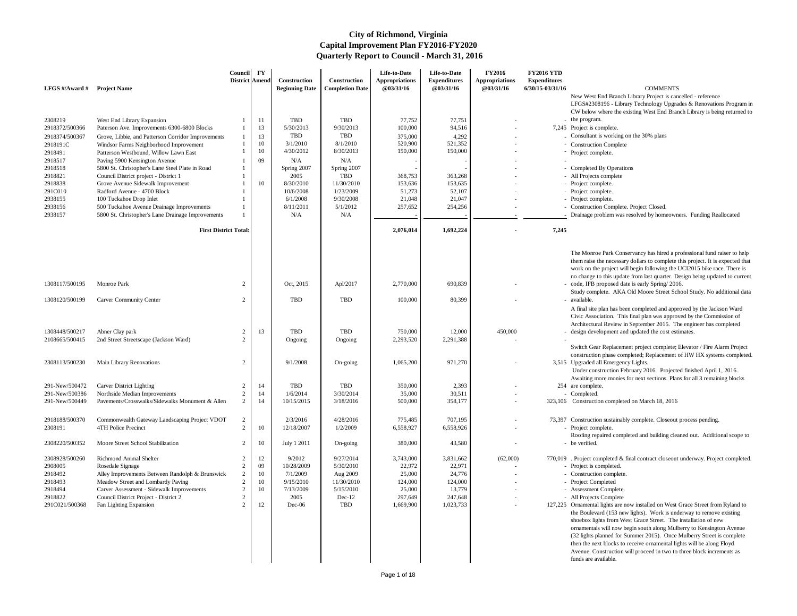New West End Branch Library Project is cancelled - reference LFGS#2308196 - Library Technology Upgrades & Renovations Program in CW below where the existing West End Branch Library is being returned to - the program.

- 7,245 Project is complete.
	- $\sim$  Consultant is working on the 30% plans
	- Construction Complete
	-
	- Completed By Operations
	-
	-
	-
	-
	- Construction Complete. Project Closed.
	- Drainage problem was resolved by homeowners. Funding Reallocated

The Monroe Park Conservancy has hired a professional fund raiser to help them raise the necessary dollars to complete this project. It is expected that work on the project will begin following the UCI2015 bike race. There is no change to this update from last quarter. Design being updated to current - code, IFB proposed date is early Spring/ 2016.

Switch Gear Replacement project complete; Elevator / Fire Alarm Project construction phase completed; Replacement of HW HX systems completed. 3,515 Upgraded all Emergency Lights.

 Under construction February 2016. Projected finished April 1, 2016. Awaiting more monies for next sections. Plans for all 3 remaining blocks 254 are complete.

| LFGS #/Award # | <b>Project Name</b>                                | Council<br>District Amend | $\mathbf{F}\mathbf{Y}$ | Construction<br><b>Beginning Date</b> | Construction<br><b>Completion Date</b> | Life-to-Date<br><b>Appropriations</b><br><b>@03/31/16</b> | Life-to-Date<br><b>Expenditures</b><br>@03/31/16 | <b>FY2016</b><br><b>Appropriations</b><br>@03/31/16 | <b>FY2016 YTD</b><br><b>Expenditures</b><br>6/30/15-03/31/16 | <b>COMMENTS</b>                                                                                                                            |
|----------------|----------------------------------------------------|---------------------------|------------------------|---------------------------------------|----------------------------------------|-----------------------------------------------------------|--------------------------------------------------|-----------------------------------------------------|--------------------------------------------------------------|--------------------------------------------------------------------------------------------------------------------------------------------|
|                |                                                    |                           |                        |                                       |                                        |                                                           |                                                  |                                                     |                                                              | New West End Branch Library Project is can<br>LFGS#2308196 - Library Technology Upgra<br>CW below where the existing West End Bran         |
| 2308219        | West End Library Expansion                         |                           | 11                     | TBD                                   | <b>TBD</b>                             | 77,752                                                    | 77,751                                           |                                                     |                                                              | - the program.                                                                                                                             |
| 2918372/500366 | Paterson Ave. Improvements 6300-6800 Blocks        |                           | 13                     | 5/30/2013                             | 9/30/2013                              | 100,000                                                   | 94,516                                           |                                                     |                                                              | 7,245 Project is complete.                                                                                                                 |
| 2918374/500367 | Grove, Libbie, and Patterson Corridor Improvements |                           | 13                     | <b>TBD</b>                            | <b>TBD</b>                             | 375,000                                                   | 4,292                                            |                                                     |                                                              | Consultant is working on the 30% plans                                                                                                     |
| 2918191C       | Windsor Farms Neighborhood Improvement             |                           | 10                     | 3/1/2010                              | 8/1/2010                               | 520,900                                                   | 521,352                                          |                                                     |                                                              | - Construction Complete                                                                                                                    |
| 2918491        | Patterson Westbound, Willow Lawn East              |                           | 10                     | 4/30/2012                             | 8/30/2013                              | 150,000                                                   | 150,000                                          |                                                     |                                                              | - Project complete.                                                                                                                        |
| 2918517        | Paving 5900 Kensington Avenue                      |                           | 09                     | N/A                                   | N/A                                    |                                                           |                                                  |                                                     |                                                              |                                                                                                                                            |
| 2918518        | 5800 St. Christopher's Lane Steel Plate in Road    |                           |                        | Spring 2007                           | Spring 2007                            |                                                           |                                                  |                                                     |                                                              | - Completed By Operations                                                                                                                  |
| 2918821        | Council District project - District 1              |                           |                        | 2005                                  | <b>TBD</b>                             | 368,753                                                   | 363,268                                          |                                                     |                                                              | - All Projects complete                                                                                                                    |
| 2918838        | Grove Avenue Sidewalk Improvement                  |                           | 10                     | 8/30/2010                             | 11/30/2010                             | 153,636                                                   | 153,635                                          |                                                     |                                                              | - Project complete.                                                                                                                        |
| 291C010        | Radford Avenue - 4700 Block                        |                           |                        | 10/6/2008                             | 1/23/2009                              | 51,273                                                    | 52,107                                           |                                                     |                                                              | - Project complete.                                                                                                                        |
| 2938155        | 100 Tuckahoe Drop Inlet                            |                           |                        | 6/1/2008                              | 9/30/2008                              | 21,048                                                    | 21,047                                           |                                                     |                                                              | - Project complete.                                                                                                                        |
| 2938156        | 500 Tuckahoe Avenue Drainage Improvements          |                           |                        | 8/11/2011                             | 5/1/2012                               | 257,652                                                   | 254,256                                          |                                                     |                                                              | - Construction Complete. Project Closed.                                                                                                   |
| 2938157        | 5800 St. Christopher's Lane Drainage Improvements  |                           |                        | N/A                                   | N/A                                    |                                                           |                                                  |                                                     |                                                              | Drainage problem was resolved by homeown                                                                                                   |
|                | <b>First District Total:</b>                       |                           |                        |                                       |                                        | 2,076,014                                                 | 1,692,224                                        |                                                     | 7,245                                                        |                                                                                                                                            |
|                |                                                    |                           |                        |                                       |                                        |                                                           |                                                  |                                                     |                                                              |                                                                                                                                            |
|                |                                                    |                           |                        |                                       |                                        |                                                           |                                                  |                                                     |                                                              | The Monroe Park Conservancy has hired a p<br>them raise the necessary dollars to complete<br>work on the project will begin following the  |
| 1308117/500195 | Monroe Park                                        | 2                         |                        | Oct, 2015                             | Apl/2017                               | 2,770,000                                                 | 690,839                                          |                                                     |                                                              | no change to this update from last quarter. D<br>- code, IFB proposed date is early Spring/201<br>Study complete. AKA Old Moore Street Scl |
| 1308120/500199 | <b>Carver Community Center</b>                     | 2                         |                        | <b>TBD</b>                            | <b>TBD</b>                             | 100,000                                                   | 80,399                                           |                                                     |                                                              | - available.<br>A final site plan has been completed and appr                                                                              |
|                |                                                    |                           |                        |                                       |                                        |                                                           |                                                  |                                                     |                                                              | Civic Association. This final plan was appro-<br>Architectural Review in September 2015. Th                                                |
| 1308448/500217 | Abner Clay park                                    | 2                         | 13                     | TBD                                   | TBD                                    | 750,000                                                   | 12,000                                           | 450,000                                             |                                                              | - design development and updated the cost est                                                                                              |
| 2108665/500415 | 2nd Street Streetscape (Jackson Ward)              |                           |                        | Ongoing                               | Ongoing                                | 2,293,520                                                 | 2,291,388                                        |                                                     |                                                              |                                                                                                                                            |
|                |                                                    |                           |                        |                                       |                                        |                                                           |                                                  |                                                     |                                                              | Switch Gear Replacement project complete;                                                                                                  |
|                |                                                    |                           |                        |                                       |                                        |                                                           |                                                  |                                                     |                                                              | construction phase completed; Replacement                                                                                                  |
| 2308113/500230 | Main Library Renovations                           | 2                         |                        | 9/1/2008                              | On-going                               | 1,065,200                                                 | 971,270                                          |                                                     |                                                              | 3,515 Upgraded all Emergency Lights.<br>Under construction February 2016. Projecte                                                         |
|                |                                                    |                           |                        |                                       |                                        |                                                           |                                                  |                                                     |                                                              | Awaiting more monies for next sections. Plar                                                                                               |
| 291-New/500472 | <b>Carver District Lighting</b>                    |                           | 14                     | TBD                                   | <b>TBD</b>                             | 350,000                                                   | 2,393                                            |                                                     |                                                              | 254 are complete.                                                                                                                          |
| 291-New/500386 | Northside Median Improvements                      | 2                         | 14                     | 1/6/2014                              | 3/30/2014                              | 35,000                                                    | 30,511                                           |                                                     |                                                              | - Completed.                                                                                                                               |
| 291-New/500449 | Pavements/Crosswalks/Sidewalks Monument & Allen    | 2                         | 14                     | 10/15/2015                            | 3/18/2016                              | 500,000                                                   | 358,177                                          |                                                     |                                                              | 323,106 Construction completed on March 18, 2016                                                                                           |
|                |                                                    |                           |                        |                                       |                                        |                                                           |                                                  |                                                     |                                                              |                                                                                                                                            |
| 2918188/500370 | Commonwealth Gateway Landscaping Project VDOT      | 2                         |                        | 2/3/2016                              | 4/28/2016                              | 775,485                                                   | 707,195                                          |                                                     |                                                              | 73,397 Construction sustainably complete. Closeout                                                                                         |
| 2308191        | 4TH Police Precinct                                | 2                         | 10                     | 12/18/2007                            | 1/2/2009                               | 6,558,927                                                 | 6,558,926                                        |                                                     |                                                              | Project complete.                                                                                                                          |
|                |                                                    |                           |                        |                                       |                                        |                                                           |                                                  |                                                     |                                                              | Roofing repaired completed and building clea                                                                                               |
| 2308220/500352 | Moore Street School Stabilization                  | $\overline{2}$            | 10                     | July 1 2011                           | On-going                               | 380,000                                                   | 43,580                                           |                                                     |                                                              | - be verified.                                                                                                                             |
| 2308928/500260 | <b>Richmond Animal Shelter</b>                     | 2                         | 12                     | 9/2012                                | 9/27/2014                              | 3,743,000                                                 | 3,831,662                                        | (62,000)                                            |                                                              | 770,019 . Project completed & final contract closeout                                                                                      |
| 2908005        | Rosedale Signage                                   | 2                         | 09                     | 10/28/2009                            | 5/30/2010                              | 22,972                                                    | 22,971                                           |                                                     |                                                              | - Project is completed.                                                                                                                    |
| 2918492        | Alley Improvements Between Randolph & Brunswick    | $\overline{2}$            | 10                     | 7/1/2009                              | Aug 2009                               | 25,000                                                    | 24,776                                           |                                                     |                                                              | - Construction complete.                                                                                                                   |
| 2918493        | Meadow Street and Lombardy Paving                  |                           | 10                     | 9/15/2010                             | 11/30/2010                             | 124,000                                                   | 124,000                                          |                                                     |                                                              | Project Completed                                                                                                                          |
| 2918494        | Carver Assessment - Sidewalk Improvements          | 2                         | 10                     | 7/13/2009                             | 5/15/2010                              | 25,000                                                    | 13,779                                           |                                                     |                                                              | - Assessment Complete.                                                                                                                     |
| 2918822        | Council District Project - District 2              | 2                         |                        | 2005                                  | $Dec-12$                               | 297,649                                                   | 247,648                                          |                                                     |                                                              | - All Projects Complete                                                                                                                    |
| 291C021/500368 | Fan Lighting Expansion                             | $\mathfrak{D}$            | 12                     | Dec-06                                | <b>TBD</b>                             | 1,669,900                                                 | 1,023,733                                        |                                                     |                                                              | 127,225 Ornamental lights are now installed on West<br>the Boulevard (153 new lights). Work is und                                         |
|                |                                                    |                           |                        |                                       |                                        |                                                           |                                                  |                                                     |                                                              | shoebox lights from West Grace Street. The                                                                                                 |
|                |                                                    |                           |                        |                                       |                                        |                                                           |                                                  |                                                     |                                                              | ornamentals will now begin south along Mull                                                                                                |
|                |                                                    |                           |                        |                                       |                                        |                                                           |                                                  |                                                     |                                                              | (32 lights planned for Summer 2015). Once                                                                                                  |
|                |                                                    |                           |                        |                                       |                                        |                                                           |                                                  |                                                     |                                                              | then the next blocks to receive ornamental lig                                                                                             |
|                |                                                    |                           |                        |                                       |                                        |                                                           |                                                  |                                                     |                                                              | Avenue. Construction will proceed in two to                                                                                                |
|                |                                                    |                           |                        |                                       |                                        |                                                           |                                                  |                                                     |                                                              | funds are available.                                                                                                                       |

Study complete. AKA Old Moore Street School Study. No additional data available.

- 
- 323,106 Construction completed on March 18, 2016
- 73,397 Construction sustainably complete. Closeout process pending.
	-
	- Roofing repaired completed and building cleaned out. Additional scope to be verified.
- 770,019 . Project completed & final contract closeout underway. Project completed.
	- Construction complete.
	-
	- Assessment Complete.
	- All Projects Complete
- 127,225 Ornamental lights are now installed on West Grace Street from Ryland to the Boulevard (153 new lights). Work is underway to remove existing shoebox lights from West Grace Street. The installation of new ornamentals will now begin south along Mulberry to Kensington Avenue (32 lights planned for Summer 2015). Once Mulberry Street is complete then the next blocks to receive ornamental lights will be along Floyd Avenue. Construction will proceed in two to three block increments as funds are available.

A final site plan has been completed and approved by the Jackson Ward Civic Association. This final plan was approved by the Commission of Architectural Review in September 2015. The engineer has completed

- design development and updated the cost estimates.
-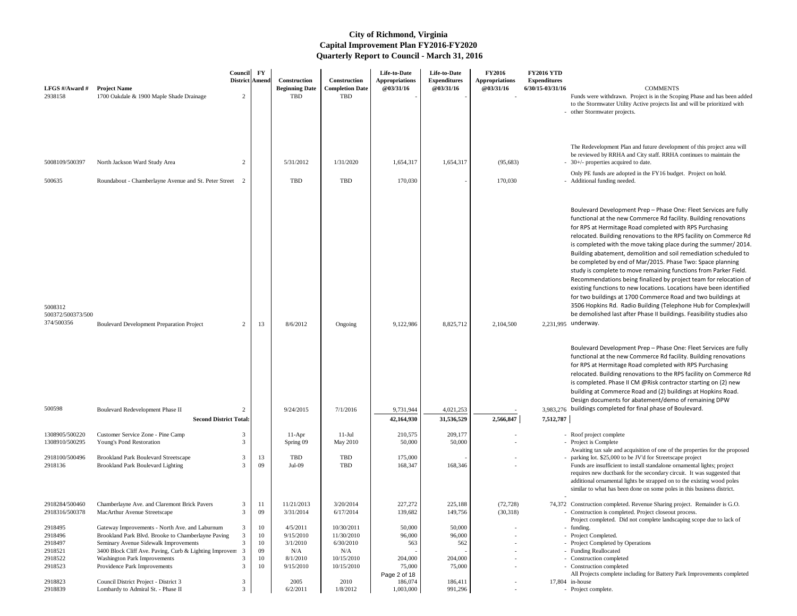Funds were withdrawn. Project is in the Scoping Phase and has been added to the Stormwater Utility Active projects list and will be prioritized with

Boulevard Development Prep – Phase One: Fleet Services are fully functional at the new Commerce Rd facility. Building renovations for RPS at Hermitage Road completed with RPS Purchasing relocated. Building renovations to the RPS facility on Commerce Rd is completed with the move taking place during the summer/ 2014. Building abatement, demolition and soil remediation scheduled to be completed by end of Mar/2015. Phase Two: Space planning study is complete to move remaining functions from Parker Field. Recommendations being finalized by project team for relocation of existing functions to new locations. Locations have been identified for two buildings at 1700 Commerce Road and two buildings at 3506 Hopkins Rd. Radio Building (Telephone Hub for Complex)will be demolished last after Phase II buildings. Feasibility studies also 2,231,995 underway.

The Redevelopment Plan and future development of this project area will be reviewed by RRHA and City staff. RRHA continues to maintain the 30+/- properties acquired to date.

- Only PE funds are adopted in the FY16 budget. Project on hold.
- Additional funding needed.

Boulevard Development Prep – Phase One: Fleet Services are fully functional at the new Commerce Rd facility. Building renovations for RPS at Hermitage Road completed with RPS Purchasing relocated. Building renovations to the RPS facility on Commerce Rd is completed. Phase II CM @Risk contractor starting on (2) new building at Commerce Road and (2) buildings at Hopkins Road. Design documents for abatement/demo of remaining DPW

3.983.276 buildings completed for final phase of Boulevard.

- Roof project complete
- 
- Awaiting tax sale and acquisition of one of the properties for the proposed parking lot. \$25,000 to be JV'd for Streetscape project
- Funds are insufficient to install standalone ornamental lights; project requires new ductbank for the secondary circuit. It was suggested that additional ornamental lights be strapped on to the existing wood poles similar to what has been done on some poles in this business district.
- 
- 74,372 Construction completed. Revenue Sharing project. Remainder is G.O. - Construction is completed. Project closeout process.
	- Project completed. Did not complete landscaping scope due to lack of - funding.
	-
	- Project Completed by Operations
	-
	- Construction completed
	- Construction completed
- All Projects complete including for Battery Park Improvements completed 17,804 in-house
	-

| LFGS #/Award #                                                 | <b>Project Name</b>                                                                                                                                                                                                                                                            | Council        | $\mathbf{F}\mathbf{Y}$<br>District Amend | <b>Construction</b><br><b>Beginning Date</b>                      | <b>Construction</b><br><b>Completion Date</b>                            | Life-to-Date<br><b>Appropriations</b><br><b>@03/31/16</b> | Life-to-Date<br><b>Expenditures</b><br>@03/31/16 | <b>FY2016</b><br><b>Appropriations</b><br>@03/31/16 | <b>FY2016 YTD</b><br><b>Expenditures</b><br>$6/30/15 - 03/31/16$ | <b>COMMENTS</b>                                                                                                                                                                                                                                                                                                                                                                                                                                                                                                                                                                                                                                                                                                                                                       |
|----------------------------------------------------------------|--------------------------------------------------------------------------------------------------------------------------------------------------------------------------------------------------------------------------------------------------------------------------------|----------------|------------------------------------------|-------------------------------------------------------------------|--------------------------------------------------------------------------|-----------------------------------------------------------|--------------------------------------------------|-----------------------------------------------------|------------------------------------------------------------------|-----------------------------------------------------------------------------------------------------------------------------------------------------------------------------------------------------------------------------------------------------------------------------------------------------------------------------------------------------------------------------------------------------------------------------------------------------------------------------------------------------------------------------------------------------------------------------------------------------------------------------------------------------------------------------------------------------------------------------------------------------------------------|
| 2938158                                                        | 1700 Oakdale & 1900 Maple Shade Drainage                                                                                                                                                                                                                                       | $\overline{2}$ |                                          | TBD                                                               | <b>TBD</b>                                                               |                                                           |                                                  |                                                     |                                                                  | Funds were withdrawn. Project is in the Sco<br>to the Stormwater Utility Active projects list<br>- other Stormwater projects.                                                                                                                                                                                                                                                                                                                                                                                                                                                                                                                                                                                                                                         |
| 5008109/500397                                                 | North Jackson Ward Study Area                                                                                                                                                                                                                                                  | 2              |                                          | 5/31/2012                                                         | 1/31/2020                                                                | 1,654,317                                                 | 1,654,317                                        | (95, 683)                                           |                                                                  | The Redevelopment Plan and future developi<br>be reviewed by RRHA and City staff. RRHA<br>$-$ 30+/- properties acquired to date.                                                                                                                                                                                                                                                                                                                                                                                                                                                                                                                                                                                                                                      |
| 500635                                                         | Roundabout - Chamberlayne Avenue and St. Peter Street 2                                                                                                                                                                                                                        |                |                                          | <b>TBD</b>                                                        | <b>TBD</b>                                                               | 170,030                                                   |                                                  | 170,030                                             |                                                                  | Only PE funds are adopted in the FY16 budg<br>- Additional funding needed.                                                                                                                                                                                                                                                                                                                                                                                                                                                                                                                                                                                                                                                                                            |
| 5008312<br>500372/500373/500<br>374/500356                     | <b>Boulevard Development Preparation Project</b>                                                                                                                                                                                                                               | 2              | 13                                       | 8/6/2012                                                          | Ongoing                                                                  | 9,122,986                                                 | 8,825,712                                        | 2,104,500                                           |                                                                  | Boulevard Development Prep - Phase O<br>functional at the new Commerce Rd faci<br>for RPS at Hermitage Road completed w<br>relocated. Building renovations to the RI<br>is completed with the move taking place<br>Building abatement, demolition and soil<br>be completed by end of Mar/2015. Phas<br>study is complete to move remaining fur<br>Recommendations being finalized by pro<br>existing functions to new locations. Loca<br>for two buildings at 1700 Commerce Roa<br>3506 Hopkins Rd. Radio Building (Telep<br>be demolished last after Phase II buildin<br>2,231,995 underway.<br>Boulevard Development Prep - Phase O<br>functional at the new Commerce Rd faci<br>for RPS at Hermitage Road completed w<br>relocated. Building renovations to the RI |
| 500598                                                         | Boulevard Redevelopment Phase II<br><b>Second District Total:</b>                                                                                                                                                                                                              | 2              |                                          | 9/24/2015                                                         | 7/1/2016                                                                 | 9,731,944<br>42,164,930                                   | 4,021,253<br>31,536,529                          | 2,566,847                                           | 7,512,787                                                        | is completed. Phase II CM @Risk contrad<br>building at Commerce Road and (2) build<br>Design documents for abatement/demo<br>3,983,276 buildings completed for final phase of Bo                                                                                                                                                                                                                                                                                                                                                                                                                                                                                                                                                                                      |
| 1308905/500220                                                 | Customer Service Zone - Pine Camp                                                                                                                                                                                                                                              |                |                                          | $11-Apr$                                                          | $11-Jul$                                                                 | 210,575                                                   | 209,177                                          |                                                     |                                                                  | Roof project complete                                                                                                                                                                                                                                                                                                                                                                                                                                                                                                                                                                                                                                                                                                                                                 |
| 1308910/500295                                                 | Young's Pond Restoration                                                                                                                                                                                                                                                       |                |                                          | Spring 09                                                         | May 2010                                                                 | 50,000                                                    | 50,000                                           |                                                     |                                                                  | - Project is Complete<br>Awaiting tax sale and acquisition of one of th                                                                                                                                                                                                                                                                                                                                                                                                                                                                                                                                                                                                                                                                                               |
| 2918100/500496<br>2918136                                      | <b>Brookland Park Boulevard Streetscape</b><br><b>Brookland Park Boulevard Lighting</b>                                                                                                                                                                                        | 3              | 13<br>09                                 | TBD<br>Jul-09                                                     | <b>TBD</b><br><b>TBD</b>                                                 | 175,000<br>168,347                                        | 168,346                                          |                                                     |                                                                  | - parking lot. \$25,000 to be JV'd for Streetscap<br>Funds are insufficient to install standalone or<br>requires new ductbank for the secondary circ<br>additional ornamental lights be strapped on to<br>similar to what has been done on some poles                                                                                                                                                                                                                                                                                                                                                                                                                                                                                                                 |
| 2918284/500460<br>2918316/500378                               | Chamberlayne Ave. and Claremont Brick Pavers<br>MacArthur Avenue Streetscape                                                                                                                                                                                                   | 3<br>3         | 11<br>09                                 | 11/21/2013<br>3/31/2014                                           | 3/20/2014<br>6/17/2014                                                   | 227,272<br>139,682                                        | 225,188<br>149,756                               | (72, 728)<br>(30,318)                               |                                                                  | 74,372 Construction completed. Revenue Sharing pr<br>- Construction is completed. Project closeout p                                                                                                                                                                                                                                                                                                                                                                                                                                                                                                                                                                                                                                                                  |
| 2918495<br>2918496<br>2918497<br>2918521<br>2918522<br>2918523 | Gateway Improvements - North Ave. and Laburnum<br>Brookland Park Blvd. Brooke to Chamberlayne Paving<br>Seminary Avenue Sidewalk Improvements<br>3400 Block Cliff Ave. Paving, Curb & Lighting Improvem<br><b>Washington Park Improvements</b><br>Providence Park Improvements | 3              | 10<br>10<br>10<br>09<br>10<br>10         | 4/5/2011<br>9/15/2010<br>3/1/2010<br>N/A<br>8/1/2010<br>9/15/2010 | 10/30/2011<br>11/30/2010<br>6/30/2010<br>N/A<br>10/15/2010<br>10/15/2010 | 50,000<br>96,000<br>563<br>204,000<br>75,000              | 50,000<br>96,000<br>562<br>204,000<br>75,000     |                                                     |                                                                  | Project completed. Did not complete landsca<br>- funding.<br>Project Completed.<br>- Project Completed by Operations<br>- Funding Reallocated<br>- Construction completed<br>- Construction completed                                                                                                                                                                                                                                                                                                                                                                                                                                                                                                                                                                 |
| 2918823<br>2918839                                             | Council District Project - District 3<br>Lombardy to Admiral St. - Phase II                                                                                                                                                                                                    | 3<br>3         |                                          | 2005<br>6/2/2011                                                  | 2010<br>1/8/2012                                                         | Page 2 of 18<br>186,074<br>1,003,000                      | 186,411<br>991,296                               |                                                     |                                                                  | All Projects complete including for Battery P<br>17,804 in-house<br>- Project complete.                                                                                                                                                                                                                                                                                                                                                                                                                                                                                                                                                                                                                                                                               |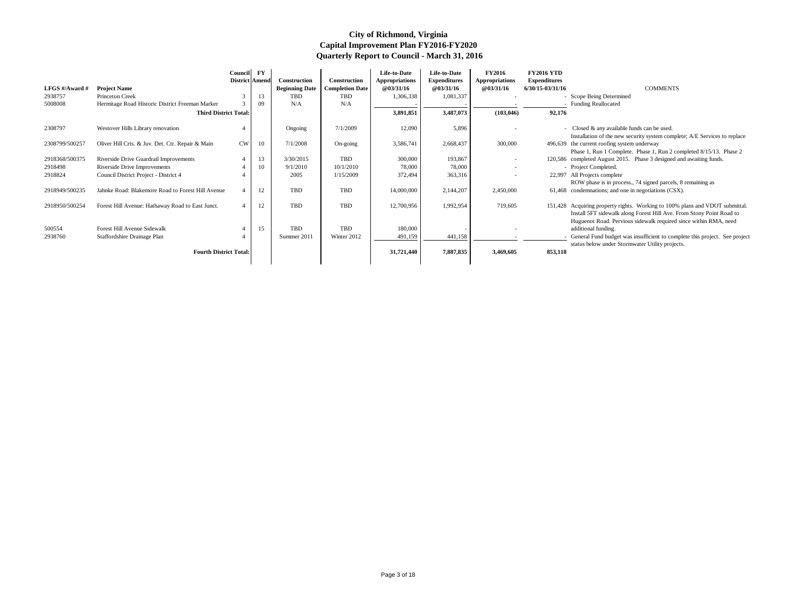|                |                                                   | Council<br>District Amend | $\mathbf{F}\mathbf{Y}$ | Construction          | Construction           | Life-to-Date<br><b>Appropriations</b> | Life-to-Date<br><b>Expenditures</b> | <b>FY2016</b><br><b>Appropriations</b> | <b>FY2016 YTD</b><br><b>Expenditures</b> |                                                                                                                                                                                                                          |
|----------------|---------------------------------------------------|---------------------------|------------------------|-----------------------|------------------------|---------------------------------------|-------------------------------------|----------------------------------------|------------------------------------------|--------------------------------------------------------------------------------------------------------------------------------------------------------------------------------------------------------------------------|
| LFGS #/Award # | <b>Project Name</b>                               |                           |                        | <b>Beginning Date</b> | <b>Completion Date</b> | <b>@03/31/16</b>                      | <b>@03/31/16</b>                    | <b>@03/31/16</b>                       | $6/30/15 - 03/31/16$                     | <b>COMMENTS</b>                                                                                                                                                                                                          |
| 2938757        | <b>Princeton Creek</b>                            | $\mathcal{R}$             | 13                     | <b>TBD</b>            | <b>TBD</b>             | 1,306,338                             | 1,081,337                           |                                        |                                          | - Scope Being Determined                                                                                                                                                                                                 |
| 5008008        | Hermitage Road Historic District Freeman Marker   |                           | 09                     | N/A                   | N/A                    |                                       |                                     |                                        |                                          | <b>Funding Reallocated</b>                                                                                                                                                                                               |
|                | <b>Third District Total:</b>                      |                           |                        |                       |                        | 3,891,851                             | 3,487,073                           | (103, 046)                             | 92,176                                   |                                                                                                                                                                                                                          |
| 2308797        | Westover Hills Library renovation                 |                           |                        | Ongoing               | 7/1/2009               | 12,090                                | 5,896                               |                                        |                                          | - Closed $&$ any available funds can be used.<br>Installation of the new security system complete; A/E Services to replace                                                                                               |
| 2308799/500257 | Oliver Hill Crts. & Juv. Det. Ctr. Repair & Main  | <b>CW</b>                 | 10                     | 7/1/2008              | On-going               | 3,586,741                             | 2,668,437                           | 300,000                                |                                          | 496,639 the current roofing system underway<br>Phase 1, Run 1 Complete. Phase 1, Run 2 completed 8/15/13. Phase 2                                                                                                        |
| 2918368/500375 | Riverside Drive Guardrail Improvements            |                           | 13                     | 3/30/2015             | <b>TBD</b>             | 300,000                               | 193,867                             |                                        |                                          | 120,586 completed August 2015. Phase 3 designed and awaiting funds.                                                                                                                                                      |
| 2918498        | Riverside Drive Improvements                      |                           | 10                     | 9/1/2010              | 10/1/2010              | 78,000                                | 78,000                              |                                        |                                          | - Project Completed.                                                                                                                                                                                                     |
| 2918824        | Council District Project - District 4             |                           |                        | 2005                  | 1/15/2009              | 372,494                               | 363,316                             |                                        |                                          | 22,997 All Projects complete                                                                                                                                                                                             |
|                |                                                   |                           |                        |                       |                        |                                       |                                     |                                        |                                          | ROW phase is in process., 74 signed parcels, 8 remaining as                                                                                                                                                              |
| 2918949/500235 | Jahnke Road: Blakemore Road to Forest Hill Avenue |                           | 12                     | <b>TBD</b>            | <b>TBD</b>             | 14,000,000                            | 2,144,207                           | 2,450,000                              |                                          | 61,468 condemnations; and one in negotiations (CSX).                                                                                                                                                                     |
| 2918950/500254 | Forest Hill Avenue: Hathaway Road to East Junct.  |                           | 12                     | <b>TBD</b>            | <b>TBD</b>             | 12,700,956                            | 1,992,954                           | 719,605                                |                                          | 151,428 Acquiring property rights. Working to 100% plans and VDOT submittal.<br>Install 5FT sidewalk along Forest Hill Ave. From Stony Point Road to<br>Huguenot Road. Pervious sidewalk required since within RMA, need |
| 500554         | Forest Hill Avenue Sidewalk                       |                           | 15                     | <b>TBD</b>            | <b>TBD</b>             | 180,000                               |                                     |                                        |                                          | additional funding.                                                                                                                                                                                                      |
| 2938760        | Staffordshire Drainage Plan                       |                           |                        | Summer 2011           | Winter 2012            | 491,159                               | 441,158                             |                                        |                                          | General Fund budget was insufficient to complete this project. See project                                                                                                                                               |
|                | <b>Fourth District Total:</b>                     |                           |                        |                       |                        | 31,721,440                            | 7,887,835                           | 3,469,605                              | 853,118                                  | status below under Stormwater Utility projects.                                                                                                                                                                          |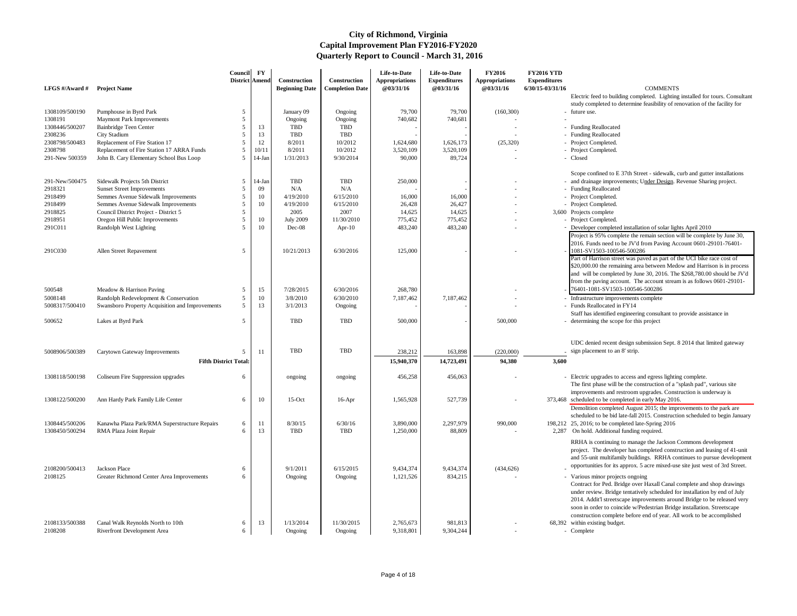Electric feed to building completed. Lighting installed for tours. Consultant study completed to determine feasibility of renovation of the facility for

- future use.
- 
- 
- 
- 
- 

# Scope confined to E 37th Street - sidewalk, curb and gutter installations

- and drainage improvements; Under Design. Revenue Sharing project.
- 
- 

- 
- 
- Developer completed installation of solar lights April 2010

Project is 95% complete the remain section will be complete by June 30, 2016. Funds need to be JV'd from Paving Account 0601-29101-76401- 1081-SV1503-100546-500286

Part of Harrison street was paved as part of the UCI bike race cost of \$20,000.00 the remaining area between Medow and Harrison is in process and will be completed by June 30, 2016. The \$268,780.00 should be JV'd from the paving account. The account stream is as follows 0601-29101-

| LFGS #/Award #                   | <b>Project Name</b>                                                                  | Council<br>District Amend    | $\mathbf{F}\mathbf{Y}$ | Construction<br><b>Beginning Date</b> | Construction<br><b>Completion Date</b> | Life-to-Date<br><b>Appropriations</b><br>@03/31/16 | Life-to-Date<br><b>Expenditures</b><br>@03/31/16 | <b>FY2016</b><br><b>Appropriations</b><br>@03/31/16 | <b>FY2016 YTD</b><br><b>Expenditures</b><br>6/30/15-03/31/16 | <b>COMMENTS</b>                                                                                 |
|----------------------------------|--------------------------------------------------------------------------------------|------------------------------|------------------------|---------------------------------------|----------------------------------------|----------------------------------------------------|--------------------------------------------------|-----------------------------------------------------|--------------------------------------------------------------|-------------------------------------------------------------------------------------------------|
|                                  |                                                                                      |                              |                        |                                       |                                        |                                                    |                                                  |                                                     |                                                              | Electric feed to building completed. Lighting<br>study completed to determine feasibility of re |
| 1308109/500190                   | Pumphouse in Byrd Park                                                               |                              |                        | January 09                            | Ongoing                                | 79,700                                             | 79,700                                           | (160, 300)                                          |                                                              | - future use.                                                                                   |
| 1308191                          | <b>Maymont Park Improvements</b>                                                     |                              |                        | Ongoing                               | Ongoing                                | 740,682                                            | 740,681                                          |                                                     |                                                              |                                                                                                 |
| 1308446/500207                   | Bainbridge Teen Center                                                               | 5                            | 13                     | <b>TBD</b>                            | TBD                                    |                                                    |                                                  |                                                     |                                                              | - Funding Reallocated                                                                           |
| 2308236                          | City Stadium                                                                         | 5                            | 13                     | <b>TBD</b>                            | <b>TBD</b>                             |                                                    |                                                  |                                                     |                                                              | - Funding Reallocated                                                                           |
| 2308798/500483                   | Replacement of Fire Station 17                                                       | -5                           | 12                     | 8/2011                                | 10/2012                                | 1,624,680                                          | 1,626,173                                        | (25,320)                                            |                                                              | - Project Completed.                                                                            |
| 2308798<br>291-New 500359        | Replacement of Fire Station 17 ARRA Funds<br>John B. Cary Elementary School Bus Loop | 5<br>5                       | 10/11<br>$14$ -Jan     | 8/2011<br>1/31/2013                   | 10/2012<br>9/30/2014                   | 3,520,109<br>90,000                                | 3,520,109<br>89,724                              |                                                     |                                                              | - Project Completed.<br>- Closed                                                                |
|                                  |                                                                                      |                              |                        |                                       |                                        |                                                    |                                                  |                                                     |                                                              |                                                                                                 |
|                                  |                                                                                      |                              |                        |                                       |                                        |                                                    |                                                  |                                                     |                                                              | Scope confined to E 37th Street - sidewalk, or                                                  |
| 291-New/500475                   | Sidewalk Projects 5th District                                                       | 5                            | $14$ -Jan              | <b>TBD</b>                            | <b>TBD</b>                             | 250,000                                            |                                                  |                                                     |                                                              | - and drainage improvements; Under Design. F                                                    |
| 2918321                          | <b>Sunset Street Improvements</b>                                                    | 5                            | 09                     | N/A                                   | N/A                                    |                                                    |                                                  |                                                     |                                                              | - Funding Reallocated                                                                           |
| 2918499                          | Semmes Avenue Sidewalk Improvements                                                  | -5                           | 10                     | 4/19/2010                             | 6/15/2010                              | 16,000                                             | 16,000                                           |                                                     |                                                              | Project Completed.                                                                              |
| 2918499                          | Semmes Avenue Sidewalk Improvements                                                  | 5                            | 10                     | 4/19/2010                             | 6/15/2010                              | 26,428                                             | 26,427                                           |                                                     |                                                              | - Project Completed.                                                                            |
| 2918825                          | Council District Project - District 5                                                | 5                            |                        | 2005                                  | 2007                                   | 14,625                                             | 14,625                                           |                                                     | 3,600                                                        | Projects complete                                                                               |
| 2918951                          | Oregon Hill Public Improvements                                                      | 5                            | 10                     | <b>July 2009</b>                      | 11/30/2010                             | 775,452                                            | 775,452                                          |                                                     |                                                              | Project Completed.                                                                              |
| 291C011                          | Randolph West Lighting                                                               | .5                           | 10                     | Dec-08                                | Apr- $10$                              | 483,240                                            | 483,240                                          |                                                     |                                                              | - Developer completed installation of solar ligh                                                |
|                                  |                                                                                      |                              |                        |                                       |                                        |                                                    |                                                  |                                                     |                                                              | Project is 95% complete the remain section v                                                    |
|                                  |                                                                                      |                              |                        |                                       |                                        |                                                    |                                                  |                                                     |                                                              | 2016. Funds need to be JV'd from Paving Ac                                                      |
| 291C030                          | Allen Street Repavement                                                              | 5                            |                        | 10/21/2013                            | 6/30/2016                              | 125,000                                            |                                                  |                                                     |                                                              | 1081-SV1503-100546-500286<br>Part of Harrison street was paved as part of t                     |
|                                  |                                                                                      |                              |                        |                                       |                                        |                                                    |                                                  |                                                     |                                                              | \$20,000.00 the remaining area between Med                                                      |
|                                  |                                                                                      |                              |                        |                                       |                                        |                                                    |                                                  |                                                     |                                                              | and will be completed by June 30, 2016. The                                                     |
|                                  |                                                                                      |                              |                        |                                       |                                        |                                                    |                                                  |                                                     |                                                              | from the paving account. The account strear                                                     |
| 500548                           | Meadow & Harrison Paving                                                             | 5                            | 15                     | 7/28/2015                             | 6/30/2016                              | 268,780                                            |                                                  |                                                     |                                                              | 76401-1081-SV1503-100546-500286                                                                 |
| 5008148                          | Randolph Redevelopment & Conservation                                                | 5                            | 10                     | 3/8/2010                              | 6/30/2010                              | 7,187,462                                          | 7,187,462                                        |                                                     |                                                              | - Infrastructure improvements complete                                                          |
| 5008317/500410                   | Swansboro Property Acquisition and Improvements                                      | 5                            | 13                     | 3/1/2013                              | Ongoing                                |                                                    |                                                  |                                                     |                                                              | - Funds Reallocated in FY14                                                                     |
|                                  |                                                                                      |                              |                        |                                       |                                        |                                                    |                                                  |                                                     |                                                              | Staff has identified engineering consultant to                                                  |
| 500652                           | Lakes at Byrd Park                                                                   | 5                            |                        | <b>TBD</b>                            | <b>TBD</b>                             | 500,000                                            |                                                  | 500,000                                             |                                                              | - determining the scope for this project                                                        |
|                                  |                                                                                      |                              |                        |                                       |                                        |                                                    |                                                  |                                                     |                                                              |                                                                                                 |
|                                  |                                                                                      |                              |                        |                                       |                                        |                                                    |                                                  |                                                     |                                                              | UDC denied recent design submission Sept. 8                                                     |
| 5008906/500389                   | Carytown Gateway Improvements                                                        | 5                            | -11                    | TBD                                   | <b>TBD</b>                             | 238,212                                            | 163,898                                          | (220,000)                                           |                                                              | sign placement to an 8' strip.                                                                  |
|                                  |                                                                                      | <b>Fifth District Total:</b> |                        |                                       |                                        | 15,940,370                                         | 14,723,491                                       | 94,380                                              | 3,600                                                        |                                                                                                 |
|                                  |                                                                                      |                              |                        |                                       |                                        |                                                    |                                                  |                                                     |                                                              |                                                                                                 |
| 1308118/500198                   | Coliseum Fire Suppression upgrades                                                   | 6                            |                        | ongoing                               | ongoing                                | 456,258                                            | 456,063                                          |                                                     |                                                              | - Electric upgrades to access and egress lightin                                                |
|                                  |                                                                                      |                              |                        |                                       |                                        |                                                    |                                                  |                                                     |                                                              | The first phase will be the construction of a "                                                 |
|                                  |                                                                                      |                              |                        |                                       |                                        |                                                    |                                                  |                                                     |                                                              | improvements and restroom upgrades. Const                                                       |
| 1308122/500200                   | Ann Hardy Park Family Life Center                                                    | 6                            | 10                     | $15-Oct$                              | $16$ -Apr                              | 1,565,928                                          | 527,739                                          |                                                     |                                                              | 373,468 scheduled to be completed in early May 2016                                             |
|                                  |                                                                                      |                              |                        |                                       |                                        |                                                    |                                                  |                                                     |                                                              | Demolition completed August 2015; the impi                                                      |
|                                  |                                                                                      |                              |                        |                                       | 6/30/16                                |                                                    |                                                  |                                                     |                                                              | scheduled to be bid late-fall 2015. Constructi                                                  |
| 1308445/500206<br>1308450/500294 | Kanawha Plaza Park/RMA Superstructure Repairs<br>RMA Plaza Joint Repair              | 6<br>-6                      | 11<br>13               | 8/30/15<br><b>TBD</b>                 | <b>TBD</b>                             | 3,890,000<br>1,250,000                             | 2,297,979<br>88,809                              | 990,000                                             | 2,287                                                        | 198,212 25, 2016; to be completed late-Spring 2016<br>On hold. Additional funding required.     |
|                                  |                                                                                      |                              |                        |                                       |                                        |                                                    |                                                  |                                                     |                                                              |                                                                                                 |
|                                  |                                                                                      |                              |                        |                                       |                                        |                                                    |                                                  |                                                     |                                                              | RRHA is continuing to manage the Jackson O                                                      |
|                                  |                                                                                      |                              |                        |                                       |                                        |                                                    |                                                  |                                                     |                                                              | project. The developer has completed constr                                                     |
|                                  |                                                                                      |                              |                        |                                       |                                        |                                                    |                                                  |                                                     |                                                              | and 55-unit multifamily buildings. RRHA co                                                      |
| 2108200/500413                   | Jackson Place                                                                        |                              |                        | 9/1/2011                              | 6/15/2015                              | 9,434,374                                          | 9,434,374                                        | (434, 626)                                          |                                                              | opportunities for its approx. 5 acre mixed-use                                                  |
| 2108125                          | Greater Richmond Center Area Improvements                                            | 6                            |                        | Ongoing                               | Ongoing                                | 1,121,526                                          | 834,215                                          |                                                     |                                                              | - Various minor projects ongoing                                                                |
|                                  |                                                                                      |                              |                        |                                       |                                        |                                                    |                                                  |                                                     |                                                              | Contract for Ped. Bridge over Haxall Canal c                                                    |
|                                  |                                                                                      |                              |                        |                                       |                                        |                                                    |                                                  |                                                     |                                                              | under review. Bridge tentatively scheduled fo                                                   |
|                                  |                                                                                      |                              |                        |                                       |                                        |                                                    |                                                  |                                                     |                                                              | 2014. Addit'l streetscape improvements arou:                                                    |
|                                  |                                                                                      |                              |                        |                                       |                                        |                                                    |                                                  |                                                     |                                                              | soon in order to coincide w/Pedestrian Bridg                                                    |
| 2108133/500388                   | Canal Walk Reynolds North to 10th                                                    | 6                            | 13                     | 1/13/2014                             | 11/30/2015                             | 2,765,673                                          | 981,813                                          |                                                     |                                                              | construction complete before end of year. All<br>68,392 within existing budget.                 |
| 2108208                          | Riverfront Development Area                                                          | 6                            |                        | Ongoing                               | Ongoing                                | 9,318,801                                          | 9,304,244                                        |                                                     |                                                              | - Complete                                                                                      |
|                                  |                                                                                      |                              |                        |                                       |                                        |                                                    |                                                  |                                                     |                                                              |                                                                                                 |

- 76401-1081-SV1503-100546-500286
- Infrastructure improvements complete
- Funds Reallocated in FY14 Staff has identified engineering consultant to provide assistance in
- determining the scope for this project

UDC denied recent design submission Sept. 8 2014 that limited gateway sign placement to an 8' strip.

- Electric upgrades to access and egress lighting complete. The first phase will be the construction of a "splash pad", various site improvements and restroom upgrades. Construction is underway is 373,468 scheduled to be completed in early May 2016.
- Demolition completed August 2015; the improvements to the park are scheduled to be bid late-fall 2015. Construction scheduled to begin January 25, 2016; to be completed late-Spring 2016
- 2,287 On hold. Additional funding required.

RRHA is continuing to manage the Jackson Commons development project. The developer has completed construction and leasing of 41-unit and 55-unit multifamily buildings. RRHA continues to pursue development opportunities for its approx. 5 acre mixed-use site just west of 3rd Street.

- 
- Various minor projects ongoing Contract for Ped. Bridge over Haxall Canal complete and shop drawings under review. Bridge tentatively scheduled for installation by end of July 2014. Addit'l streetscape improvements around Bridge to be released very soon in order to coincide w/Pedestrian Bridge installation. Streetscape construction complete before end of year. All work to be accomplished
- 68,392 within existing budget.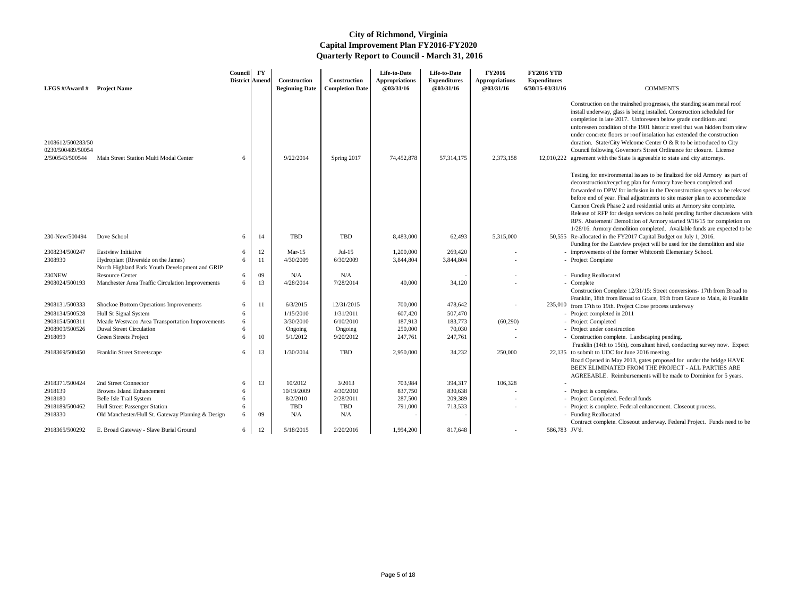| <b>LFGS</b> #/Award # Project Name                        |                                                                                       | <b>Council</b><br>District Amend | $\mathbf{F}\mathbf{Y}$ | <b>Construction</b><br><b>Beginning Date</b> | Construction<br><b>Completion Date</b> | Life-to-Date<br><b>Appropriations</b><br>@03/31/16 | Life-to-Date<br><b>Expenditures</b><br>@03/31/16 | <b>FY2016</b><br><b>Appropriations</b><br>@03/31/16 | <b>FY2016 YTD</b><br><b>Expenditures</b><br>6/30/15-03/31/16 | <b>COMMENTS</b>                                                                                                                                                                                                                                                                                                                                                                                                                                                                                                                                                                                                     |
|-----------------------------------------------------------|---------------------------------------------------------------------------------------|----------------------------------|------------------------|----------------------------------------------|----------------------------------------|----------------------------------------------------|--------------------------------------------------|-----------------------------------------------------|--------------------------------------------------------------|---------------------------------------------------------------------------------------------------------------------------------------------------------------------------------------------------------------------------------------------------------------------------------------------------------------------------------------------------------------------------------------------------------------------------------------------------------------------------------------------------------------------------------------------------------------------------------------------------------------------|
| 2108612/500283/50<br>0230/500489/50054<br>2/500543/500544 | Main Street Station Multi Modal Center                                                | 6                                |                        | 9/22/2014                                    | Spring 2017                            | 74,452,878                                         | 57, 314, 175                                     | 2,373,158                                           |                                                              | Construction on the trainshed progresses, the standing seam metal roof<br>install underway, glass is being installed. Construction scheduled for<br>completion in late 2017. Unforeseen below grade conditions and<br>unforeseen condition of the 1901 historic steel that was hidden from view<br>under concrete floors or roof insulation has extended the construction<br>duration. State/City Welcome Center $O & R$ to be introduced to City<br>Council following Governor's Street Ordinance for closure. License<br>12,010,222 agreement with the State is agreeable to state and city attorneys.            |
|                                                           |                                                                                       |                                  |                        |                                              |                                        |                                                    |                                                  |                                                     |                                                              | Testing for environmental issues to be finalized for old Armory as part of<br>deconstruction/recycling plan for Armory have been completed and<br>forwarded to DPW for inclusion in the Deconstruction specs to be released<br>before end of year. Final adjustments to site master plan to accommodate<br>Cannon Creek Phase 2 and residential units at Armory site complete.<br>Release of RFP for design services on hold pending further discussions with<br>RPS. Abatement/ Demolition of Armory started 9/16/15 for completion on<br>1/28/16. Armory demolition completed. Available funds are expected to be |
| 230-New/500494                                            | Dove School                                                                           | 6                                | 14                     | TBD                                          | TBD                                    | 8,483,000                                          | 62,493                                           | 5,315,000                                           |                                                              | 50,555 Re-allocated in the FY2017 Capital Budget on July 1, 2016.<br>Funding for the Eastview project will be used for the demolition and site                                                                                                                                                                                                                                                                                                                                                                                                                                                                      |
| 2308234/500247                                            | <b>Eastview Initiative</b>                                                            | 6                                | 12                     | Mar- $15$                                    | $Jul-15$                               | 1,200,000                                          | 269,420                                          |                                                     |                                                              | - improvements of the former Whitcomb Elementary School.                                                                                                                                                                                                                                                                                                                                                                                                                                                                                                                                                            |
| 2308930                                                   | Hydroplant (Riverside on the James)<br>North Highland Park Youth Development and GRIP | 6                                |                        | 4/30/2009                                    | 6/30/2009                              | 3,844,804                                          | 3,844,804                                        |                                                     |                                                              | - Project Complete                                                                                                                                                                                                                                                                                                                                                                                                                                                                                                                                                                                                  |
| 230NEW                                                    | <b>Resource Center</b>                                                                | 6                                | 09                     | N/A                                          | N/A                                    |                                                    |                                                  |                                                     |                                                              | - Funding Reallocated                                                                                                                                                                                                                                                                                                                                                                                                                                                                                                                                                                                               |
| 2908024/500193                                            | Manchester Area Traffic Circulation Improvements                                      | 6                                | 13                     | 4/28/2014                                    | 7/28/2014                              | 40,000                                             | 34,120                                           |                                                     |                                                              | - Complete<br>Construction Complete 12/31/15: Street conversions- 17th from Broad to<br>Franklin, 18th from Broad to Grace, 19th from Grace to Main, & Franklin                                                                                                                                                                                                                                                                                                                                                                                                                                                     |
| 2908131/500333                                            | Shockoe Bottom Operations Improvements                                                | 6                                | 11                     | 6/3/2015                                     | 12/31/2015                             | 700,000                                            | 478,642                                          |                                                     |                                                              | 235,010 from 17th to 19th. Project Close process underway                                                                                                                                                                                                                                                                                                                                                                                                                                                                                                                                                           |
| 2908134/500528                                            | Hull St Signal System                                                                 | 6                                |                        | 1/15/2010                                    | 1/31/2011                              | 607,420                                            | 507,470                                          |                                                     |                                                              | - Project completed in 2011                                                                                                                                                                                                                                                                                                                                                                                                                                                                                                                                                                                         |
| 2908154/500311                                            | Meade Westvaco Area Transportation Improvements                                       | 6                                |                        | 3/30/2010                                    | 6/10/2010                              | 187,913                                            | 183,773                                          | (60, 290)                                           |                                                              | - Project Completed                                                                                                                                                                                                                                                                                                                                                                                                                                                                                                                                                                                                 |
| 2908909/500526                                            | <b>Duval Street Circulation</b>                                                       | 6                                |                        | Ongoing                                      | Ongoing                                | 250,000                                            | 70,030                                           |                                                     |                                                              | - Project under construction                                                                                                                                                                                                                                                                                                                                                                                                                                                                                                                                                                                        |
| 2918099                                                   | Green Streets Project                                                                 |                                  | 10.                    | 5/1/2012                                     | 9/20/2012                              | 247,761                                            | 247,761                                          |                                                     |                                                              | - Construction complete. Landscaping pending.<br>Franklin (14th to 15th), consultant hired, conducting survey now. Expect                                                                                                                                                                                                                                                                                                                                                                                                                                                                                           |
| 2918369/500450                                            | <b>Franklin Street Streetscape</b>                                                    | 6                                | 13                     | 1/30/2014                                    | TBD                                    | 2,950,000                                          | 34,232                                           | 250,000                                             |                                                              | 22,135 to submit to UDC for June 2016 meeting.<br>Road Opened in May 2013, gates proposed for under the bridge HAVE<br>BEEN ELIMINATED FROM THE PROJECT - ALL PARTIES ARE<br>AGREEABLE. Reimbursements will be made to Dominion for 5 years.                                                                                                                                                                                                                                                                                                                                                                        |
| 2918371/500424                                            | 2nd Street Connector                                                                  | 6                                | 13                     | 10/2012                                      | 3/2013                                 | 703,984                                            | 394,317                                          | 106,328                                             |                                                              |                                                                                                                                                                                                                                                                                                                                                                                                                                                                                                                                                                                                                     |
| 2918139                                                   | <b>Browns Island Enhancement</b>                                                      |                                  |                        | 10/19/2009                                   | 4/30/2010                              | 837,750                                            | 830,638                                          |                                                     |                                                              | - Project is complete.                                                                                                                                                                                                                                                                                                                                                                                                                                                                                                                                                                                              |
| 2918180                                                   | Belle Isle Trail System                                                               | 6                                |                        | 8/2/2010                                     | 2/28/2011                              | 287,500                                            | 209,389                                          |                                                     |                                                              | - Project Completed. Federal funds                                                                                                                                                                                                                                                                                                                                                                                                                                                                                                                                                                                  |
| 2918189/500462                                            | Hull Street Passenger Station                                                         | 6                                |                        | TBD                                          | TBD                                    | 791,000                                            | 713,533                                          |                                                     |                                                              | - Project is complete. Federal enhancement. Closeout process.                                                                                                                                                                                                                                                                                                                                                                                                                                                                                                                                                       |
| 2918330                                                   | Old Manchester/Hull St. Gateway Planning & Design                                     | 6                                | 09                     | N/A                                          | N/A                                    |                                                    |                                                  |                                                     |                                                              | - Funding Reallocated<br>Contract complete. Closeout underway. Federal Project. Funds need to be                                                                                                                                                                                                                                                                                                                                                                                                                                                                                                                    |
| 2918365/500292                                            | E. Broad Gateway - Slave Burial Ground                                                | 6                                | 12                     | 5/18/2015                                    | 2/20/2016                              | 1,994,200                                          | 817,648                                          | $\overline{\phantom{a}}$                            | 586,783 JV'd.                                                |                                                                                                                                                                                                                                                                                                                                                                                                                                                                                                                                                                                                                     |

- 
- 
- 
- 
- 

- 
- 
- 
- 
-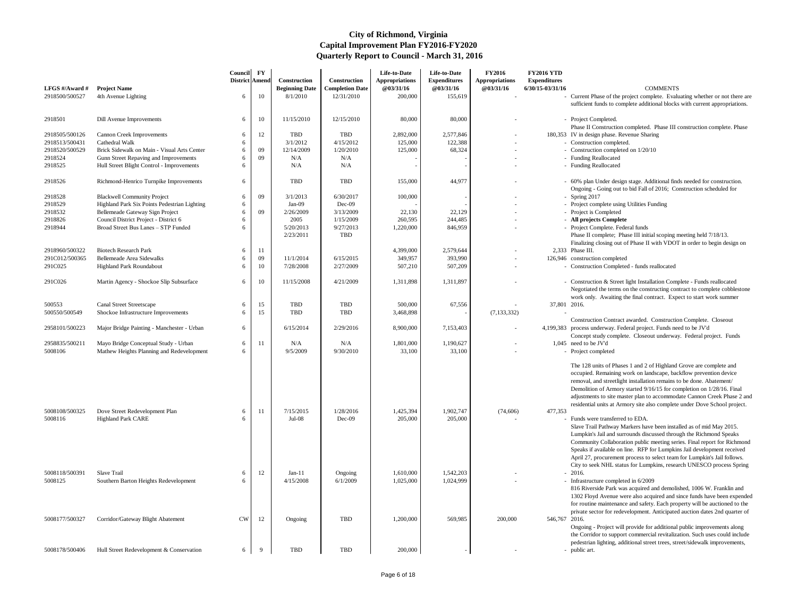|                |                                              | <b>Council</b><br>District Amend | <b>FY</b>    | <b>Construction</b>    | Construction            | Life-to-Date<br><b>Appropriations</b> | Life-to-Date<br><b>Expenditures</b> | <b>FY2016</b><br><b>Appropriations</b> | <b>FY2016 YTD</b><br><b>Expenditures</b> |                                                                                                                                                                                                                                                                                                                                                                                                                                                                                          |
|----------------|----------------------------------------------|----------------------------------|--------------|------------------------|-------------------------|---------------------------------------|-------------------------------------|----------------------------------------|------------------------------------------|------------------------------------------------------------------------------------------------------------------------------------------------------------------------------------------------------------------------------------------------------------------------------------------------------------------------------------------------------------------------------------------------------------------------------------------------------------------------------------------|
| LFGS #/Award # | <b>Project Name</b>                          |                                  |              | <b>Beginning Date</b>  | <b>Completion Date</b>  | @03/31/16                             | @03/31/16                           | @03/31/16                              | 6/30/15-03/31/16                         | <b>COMMENTS</b>                                                                                                                                                                                                                                                                                                                                                                                                                                                                          |
| 2918500/500527 | 4th Avenue Lighting                          | 6                                | 10           | 8/1/2010               | 12/31/2010              | 200,000                               | 155,619                             |                                        |                                          | - Current Phase of the project complete. Evaluating whether or not there are<br>sufficient funds to complete additional blocks with current appropriations.                                                                                                                                                                                                                                                                                                                              |
| 2918501        | Dill Avenue Improvements                     | 6                                | 10           | 11/15/2010             | 12/15/2010              | 80,000                                | 80,000                              |                                        |                                          | - Project Completed.<br>Phase II Construction completed. Phase III construction complete. Phase                                                                                                                                                                                                                                                                                                                                                                                          |
| 2918505/500126 | <b>Cannon Creek Improvements</b>             | 6                                | 12           | <b>TBD</b>             | <b>TBD</b>              | 2,892,000                             | 2,577,846                           |                                        |                                          | 180,353 IV in design phase. Revenue Sharing                                                                                                                                                                                                                                                                                                                                                                                                                                              |
| 2918513/500431 | Cathedral Walk                               | 6                                |              | 3/1/2012               | 4/15/2012               | 125,000                               | 122,388                             |                                        |                                          | - Construction completed.                                                                                                                                                                                                                                                                                                                                                                                                                                                                |
| 2918520/500529 | Brick Sidewalk on Main - Visual Arts Center  | 6                                | 09           | 12/14/2009             | 1/20/2010               | 125,000                               | 68,324                              |                                        |                                          | - Construction completed on 1/20/10                                                                                                                                                                                                                                                                                                                                                                                                                                                      |
| 2918524        | Gunn Street Repaving and Improvements        | 6                                | 09           | N/A                    | N/A                     |                                       |                                     |                                        |                                          | - Funding Reallocated                                                                                                                                                                                                                                                                                                                                                                                                                                                                    |
| 2918525        | Hull Street Blight Control - Improvements    | 6                                |              | N/A                    | N/A                     |                                       |                                     |                                        |                                          | - Funding Reallocated                                                                                                                                                                                                                                                                                                                                                                                                                                                                    |
| 2918526        | Richmond-Henrico Turnpike Improvements       | 6                                |              | <b>TBD</b>             | <b>TBD</b>              | 155,000                               | 44,977                              |                                        |                                          | - 60% plan Under design stage. Additional finds needed for construction.<br>Ongoing - Going out to bid Fall of 2016; Construction scheduled for                                                                                                                                                                                                                                                                                                                                          |
| 2918528        | <b>Blackwell Community Project</b>           | 6                                | 09           | 3/1/2013               | 6/30/2017               | 100,000                               |                                     |                                        |                                          | - Spring $2017$                                                                                                                                                                                                                                                                                                                                                                                                                                                                          |
| 2918529        | Highland Park Six Points Pedestrian Lighting | 6                                |              | $Jan-09$               | $Dec-09$                |                                       |                                     |                                        |                                          | - Project complete using Utilities Funding                                                                                                                                                                                                                                                                                                                                                                                                                                               |
| 2918532        | Bellemeade Gateway Sign Project              | 6                                | 09           | 2/26/2009              | 3/13/2009               | 22,130                                | 22,129                              |                                        |                                          | - Project is Completed                                                                                                                                                                                                                                                                                                                                                                                                                                                                   |
| 2918826        | Council District Project - District 6        | 6                                |              | 2005                   | 1/15/2009               | 260,595                               | 244,485                             |                                        |                                          | - All projects Complete                                                                                                                                                                                                                                                                                                                                                                                                                                                                  |
| 2918944        | Broad Street Bus Lanes - STP Funded          | 6                                |              | 5/20/2013<br>2/23/2011 | 9/27/2013<br><b>TBD</b> | 1,220,000                             | 846,959                             |                                        |                                          | - Project Complete. Federal funds<br>Phase II complete; Phase III initial scoping meeting held 7/18/13.<br>Finalizing closing out of Phase II with VDOT in order to begin design on                                                                                                                                                                                                                                                                                                      |
| 2918960/500322 | <b>Biotech Research Park</b>                 | 6                                | 11           |                        |                         | 4,399,000                             | 2,579,644                           |                                        |                                          | $2,333$ Phase III.                                                                                                                                                                                                                                                                                                                                                                                                                                                                       |
| 291C012/500365 | <b>Bellemeade Area Sidewalks</b>             | 6                                | 09           | 11/1/2014              | 6/15/2015               | 349,957                               | 393,990                             | $\sim$                                 |                                          | 126,946 construction completed                                                                                                                                                                                                                                                                                                                                                                                                                                                           |
| 291C025        | <b>Highland Park Roundabout</b>              | 6                                | 10           | 7/28/2008              | 2/27/2009               | 507,210                               | 507,209                             |                                        |                                          | - Construction Completed - funds reallocated                                                                                                                                                                                                                                                                                                                                                                                                                                             |
| 291C026        | Martin Agency - Shockoe Slip Subsurface      | 6                                | 10           | 11/15/2008             | 4/21/2009               | 1,311,898                             | 1,311,897                           |                                        |                                          | - Construction & Street light Installation Complete - Funds reallocated<br>Negotiated the terms on the constructing contract to complete cobblestone                                                                                                                                                                                                                                                                                                                                     |
| 500553         | <b>Canal Street Streetscape</b>              | 6                                | 15           | <b>TBD</b>             | <b>TBD</b>              | 500,000                               | 67,556                              |                                        | 37,801 2016.                             | work only. Awaiting the final contract. Expect to start work summer                                                                                                                                                                                                                                                                                                                                                                                                                      |
| 500550/500549  | Shockoe Infrastructure Improvements          | 6                                | 15           | <b>TBD</b>             | <b>TBD</b>              | 3,468,898                             |                                     | (7, 133, 332)                          |                                          |                                                                                                                                                                                                                                                                                                                                                                                                                                                                                          |
| 2958101/500223 | Major Bridge Painting - Manchester - Urban   | 6                                |              | 6/15/2014              | 2/29/2016               | 8,900,000                             | 7,153,403                           |                                        |                                          | Construction Contract awarded. Construction Complete. Closeout<br>4,199,383 process underway. Federal project. Funds need to be JV'd                                                                                                                                                                                                                                                                                                                                                     |
| 2958835/500211 | Mayo Bridge Conceptual Study - Urban         | 6                                | 11           | N/A                    | N/A                     | 1,801,000                             | 1,190,627                           |                                        |                                          | Concept study complete. Closeout underway. Federal project. Funds<br>1,045 need to be JV'd                                                                                                                                                                                                                                                                                                                                                                                               |
| 5008106        | Mathew Heights Planning and Redevelopment    | 6                                |              | 9/5/2009               | 9/30/2010               | 33,100                                | 33,100                              |                                        |                                          | - Project completed                                                                                                                                                                                                                                                                                                                                                                                                                                                                      |
| 5008108/500325 | Dove Street Redevelopment Plan               | 6                                | 11           | 7/15/2015              | 1/28/2016               | 1,425,394                             | 1,902,747                           | (74, 606)                              | 477,353                                  | The 128 units of Phases 1 and 2 of Highland Grove are complete and<br>occupied. Remaining work on landscape, backflow prevention device<br>removal, and streetlight installation remains to be done. Abatement/<br>Demolition of Armory started 9/16/15 for completion on 1/28/16. Final<br>adjustments to site master plan to accommodate Cannon Creek Phase 2 and<br>residential units at Armory site also complete under Dove School project.                                         |
| 5008116        | <b>Highland Park CARE</b>                    | 6                                |              | $Jul-08$               | $Dec-09$                | 205,000                               | 205,000                             |                                        |                                          | - Funds were transferred to EDA.<br>Slave Trail Pathway Markers have been installed as of mid May 2015.<br>Lumpkin's Jail and surrounds discussed through the Richmond Speaks<br>Community Collaboration public meeting series. Final report for Richmond<br>Speaks if available on line. RFP for Lumpkins Jail development received<br>April 27, procurement process to select team for Lumpkin's Jail follows.<br>City to seek NHL status for Lumpkins, research UNESCO process Spring |
| 5008118/500391 | Slave Trail                                  | 6                                | 12           | $Jan-11$               | Ongoing                 | 1,610,000                             | 1,542,203                           |                                        |                                          | $-2016.$                                                                                                                                                                                                                                                                                                                                                                                                                                                                                 |
| 5008125        | Southern Barton Heights Redevelopment        | 6                                |              | 4/15/2008              | 6/1/2009                | 1,025,000                             | 1,024,999                           |                                        |                                          | - Infrastructure completed in 6/2009<br>816 Riverside Park was acquired and demolished, 1006 W. Franklin and<br>1302 Floyd Avenue were also acquired and since funds have been expended<br>for routine maintenance and safety. Each property will be auctioned to the<br>private sector for redevelopment. Anticipated auction dates 2nd quarter of                                                                                                                                      |
| 5008177/500327 | Corridor/Gateway Blight Abatement            | <b>CW</b>                        | 12           | Ongoing                | <b>TBD</b>              | 1,200,000                             | 569,985                             | 200,000                                | 546,767 2016.                            | Ongoing - Project will provide for additional public improvements along<br>the Corridor to support commercial revitalization. Such uses could include<br>pedestrian lighting, additional street trees, street/sidewalk improvements,                                                                                                                                                                                                                                                     |
| 5008178/500406 | Hull Street Redevelopment & Conservation     | 6                                | $\mathbf{Q}$ | <b>TBD</b>             | <b>TBD</b>              | 200,000                               |                                     |                                        |                                          | - public art.                                                                                                                                                                                                                                                                                                                                                                                                                                                                            |

- 
- 
-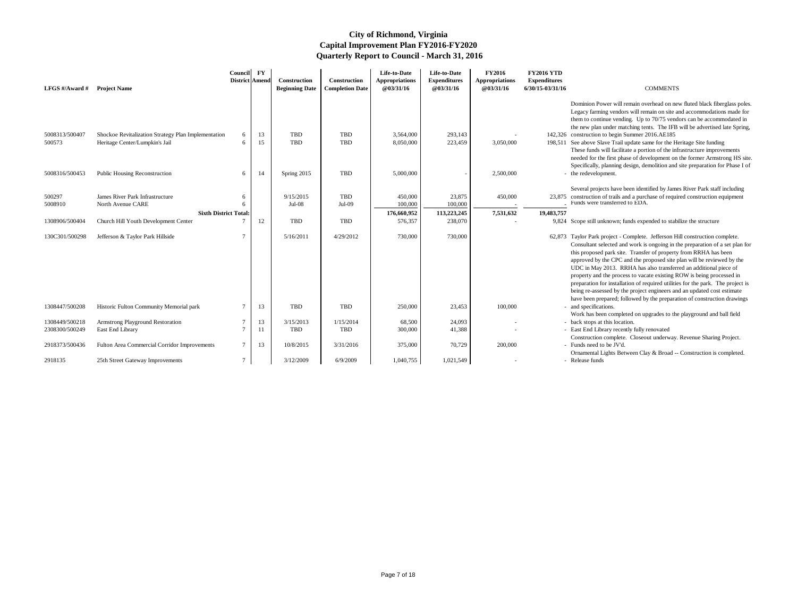Dominion Power will remain overhead on new fluted black fiberglass poles. Legacy farming vendors will remain on site and accommodations made for them to continue vending. Up to 70/75 vendors can be accommodated in the new plan under matching tents. The IFB will be advertised late Spring, 142,326 construction to begin Summer 2016.AE185

198,511 See above Slave Trail update same for the Heritage Site funding These funds will facilitate a portion of the infrastructure improvements needed for the first phase of development on the former Armstrong HS site. Specifically, planning design, demolition and site preparation for Phase I of - the redevelopment.

Several projects have been identified by James River Park staff including 23,875 construction of trails and a purchase of required construction equipment  $\overline{\phantom{a}}$  Funds were transferred to EDA.

- 9,824 Scope still unknown; funds expended to stabilize the structure
- 62,873 Taylor Park project Complete. Jefferson Hill construction complete. Consultant selected and work is ongoing in the preparation of a set plan for this proposed park site. Transfer of property from RRHA has been approved by the CPC and the proposed site plan will be reviewed by the UDC in May 2013. RRHA has also transferred an additional piece of property and the process to vacate existing ROW is being processed in preparation for installation of required utilities for the park. The project is being re-assessed by the project engineers and an updated cost estimate have been prepared; followed by the preparation of construction drawings - and specifications.
	- Work has been completed on upgrades to the playground and ball field back stops at this location.
	- East End Library recently fully renovated
	- Construction complete. Closeout underway. Revenue Sharing Project. - Funds need to be JV'd.
	- Ornamental Lights Between Clay & Broad -- Construction is completed. Release funds
	-

| LFGS #/Award # | <b>Project Name</b>                                 | Council<br>District Amend | $\mathbf{F}\mathbf{Y}$ | <b>Construction</b><br><b>Beginning Date</b> | Construction<br><b>Completion Date</b> | Life-to-Date<br><b>Appropriations</b><br>@03/31/16 | Life-to-Date<br><b>Expenditures</b><br>@03/31/16 | <b>FY2016</b><br><b>Appropriations</b><br>@03/31/16 | <b>FY2016 YTD</b><br><b>Expenditures</b><br>6/30/15-03/31/16 | <b>COMMENTS</b>                                                                                                                                          |
|----------------|-----------------------------------------------------|---------------------------|------------------------|----------------------------------------------|----------------------------------------|----------------------------------------------------|--------------------------------------------------|-----------------------------------------------------|--------------------------------------------------------------|----------------------------------------------------------------------------------------------------------------------------------------------------------|
|                |                                                     |                           |                        |                                              |                                        |                                                    |                                                  |                                                     |                                                              | Dominion Power will remain overhead on ne<br>Legacy farming vendors will remain on site a<br>them to continue vending. Up to 70/75 vend                  |
|                |                                                     |                           |                        |                                              |                                        |                                                    |                                                  |                                                     |                                                              | the new plan under matching tents. The IFB                                                                                                               |
| 5008313/500407 | Shockoe Revitalization Strategy Plan Implementation | 6                         | 13                     | TBD                                          | <b>TBD</b>                             | 3,564,000                                          | 293,143                                          |                                                     |                                                              | 142,326 construction to begin Summer 2016.AE185                                                                                                          |
| 500573         | Heritage Center/Lumpkin's Jail                      | 6                         | 15                     | TBD                                          | <b>TBD</b>                             | 8,050,000                                          | 223,459                                          | 3,050,000                                           |                                                              | 198,511 See above Slave Trail update same for the He<br>These funds will facilitate a portion of the inf<br>needed for the first phase of development on |
|                |                                                     |                           |                        |                                              |                                        |                                                    |                                                  |                                                     |                                                              | Specifically, planning design, demolition and                                                                                                            |
| 5008316/500453 | <b>Public Housing Reconstruction</b>                | 6                         | 14                     | Spring 2015                                  | <b>TBD</b>                             | 5,000,000                                          |                                                  | 2,500,000                                           |                                                              | - the redevelopment.                                                                                                                                     |
|                |                                                     |                           |                        |                                              |                                        |                                                    |                                                  |                                                     |                                                              | Several projects have been identified by Jame                                                                                                            |
| 500297         | James River Park Infrastructure                     | 6                         |                        | 9/15/2015                                    | <b>TBD</b>                             | 450,000                                            | 23,875                                           | 450,000                                             |                                                              | 23,875 construction of trails and a purchase of required                                                                                                 |
| 5008910        | North Avenue CARE                                   | 6                         |                        | $Jul-08$                                     | $Jul-09$                               | 100,000                                            | 100,000                                          |                                                     |                                                              | Funds were transferred to EDA.                                                                                                                           |
|                | <b>Sixth District Total:</b>                        |                           |                        |                                              |                                        | 176,660,952                                        | 113,223,245                                      | 7,531,632                                           | 19,483,757                                                   |                                                                                                                                                          |
| 1308906/500404 | Church Hill Youth Development Center                |                           | 12                     | TBD                                          | <b>TBD</b>                             | 576,357                                            | 238,070                                          |                                                     |                                                              | 9,824 Scope still unknown; funds expended to stabi                                                                                                       |
|                |                                                     |                           |                        |                                              |                                        |                                                    |                                                  |                                                     |                                                              |                                                                                                                                                          |
| 130C301/500298 | Jefferson & Taylor Park Hillside                    |                           |                        | 5/16/2011                                    | 4/29/2012                              | 730,000                                            | 730,000                                          |                                                     |                                                              | 62,873 Taylor Park project - Complete. Jefferson H<br>Consultant selected and work is ongoing in tl                                                      |
|                |                                                     |                           |                        |                                              |                                        |                                                    |                                                  |                                                     |                                                              | this proposed park site. Transfer of property                                                                                                            |
|                |                                                     |                           |                        |                                              |                                        |                                                    |                                                  |                                                     |                                                              | approved by the CPC and the proposed site p                                                                                                              |
|                |                                                     |                           |                        |                                              |                                        |                                                    |                                                  |                                                     |                                                              | UDC in May 2013. RRHA has also transferr                                                                                                                 |
|                |                                                     |                           |                        |                                              |                                        |                                                    |                                                  |                                                     |                                                              | property and the process to vacate existing R                                                                                                            |
|                |                                                     |                           |                        |                                              |                                        |                                                    |                                                  |                                                     |                                                              | preparation for installation of required utilitie                                                                                                        |
|                |                                                     |                           |                        |                                              |                                        |                                                    |                                                  |                                                     |                                                              | being re-assessed by the project engineers an                                                                                                            |
|                |                                                     |                           |                        |                                              |                                        |                                                    |                                                  |                                                     |                                                              | have been prepared; followed by the preparat                                                                                                             |
| 1308447/500208 | Historic Fulton Community Memorial park             | 7                         | 13                     | TBD                                          | <b>TBD</b>                             | 250,000                                            | 23,453                                           | 100,000                                             |                                                              | - and specifications.                                                                                                                                    |
| 1308449/500218 | Armstrong Playground Restoration                    |                           | 13                     | 3/15/2013                                    | 1/15/2014                              | 68,500                                             | 24,093                                           |                                                     |                                                              | Work has been completed on upgrades to the<br>- back stops at this location.                                                                             |
| 2308300/500249 | East End Library                                    | $\tau$                    | 11                     | <b>TBD</b>                                   | <b>TBD</b>                             | 300,000                                            | 41,388                                           |                                                     |                                                              | - East End Library recently fully renovated                                                                                                              |
|                |                                                     |                           |                        |                                              |                                        |                                                    |                                                  |                                                     |                                                              | Construction complete. Closeout underway.                                                                                                                |
| 2918373/500436 | Fulton Area Commercial Corridor Improvements        | 7                         | 13                     | 10/8/2015                                    | 3/31/2016                              | 375,000                                            | 70,729                                           | 200,000                                             |                                                              | - Funds need to be JV'd.                                                                                                                                 |
|                |                                                     |                           |                        |                                              |                                        |                                                    |                                                  |                                                     |                                                              | Ornamental Lights Between Clay & Broad --                                                                                                                |
| 2918135        | 25th Street Gateway Improvements                    | $\tau$                    |                        | 3/12/2009                                    | 6/9/2009                               | 1,040,755                                          | 1,021,549                                        |                                                     |                                                              | - Release funds                                                                                                                                          |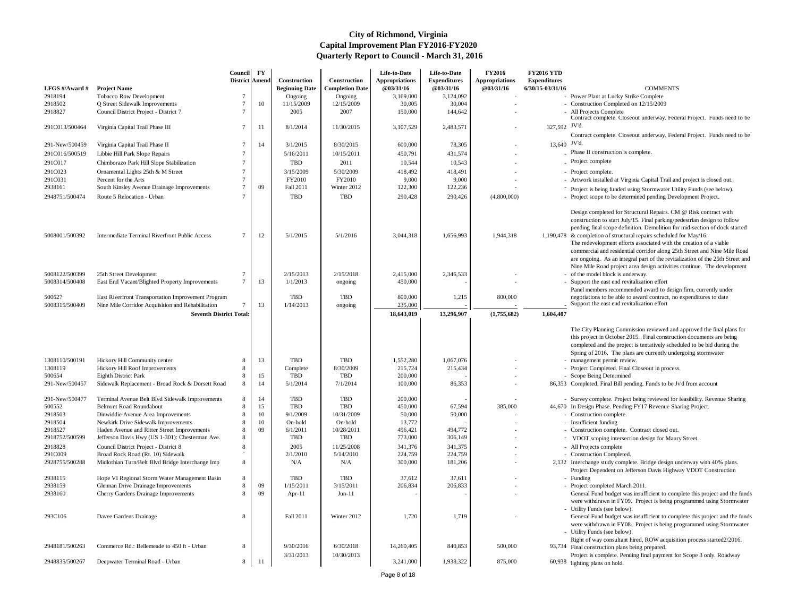- management permit review.
- Project Completed. Final Closeout in process.
- Scope Being Determined
- 86,353 Completed. Final Bill pending. Funds to be Jv'd from account

- Survey complete. Project being reviewed for feasibility. Revenue Sharing 44,670 In Design Phase. Pending FY17 Revenue Sharing Project.

- Construction complete.
- 
- Construction complete. Contract closed out.
- VDOT scoping intersection design for Maury Street.
- All Projects complete
- Construction Completed.
- 2,132 Interchange study complete. Bridge design underway with 40% plans. Project Dependent on Jefferson Davis Highway VDOT Construction
	- Funding
	- Project completed March 2011. General Fund budget was insufficient to complete this project and the funds were withdrawn in FY09. Project is being programmed using Stormwater Utility Funds (see below).
	- General Fund budget was insufficient to complete this project and the funds were withdrawn in FY08. Project is being programmed using Stormwater Utility Funds (see below).
- Right of way consultant hired, ROW acquisition process started2/2016. 93,734 Final construction plans being prepared.
- Project is complete. Pending final payment for Scope 3 only. Roadway 60,938 lighting plans on hold.

| LFGS #/Award # | <b>Project Name</b>                                       | <b>Council</b><br><b>District Amend</b> | $\mathbf{F}\mathbf{Y}$ | <b>Construction</b><br><b>Beginning Date</b> | Construction<br><b>Completion Date</b> | Life-to-Date<br><b>Appropriations</b><br><b>@03/31/16</b> | Life-to-Date<br><b>Expenditures</b><br>@03/31/16 | <b>FY2016</b><br><b>Appropriations</b><br>@03/31/16 | <b>FY2016 YTD</b><br><b>Expenditures</b><br>6/30/15-03/31/16 | <b>COMMENTS</b>                                                                                                                                                                                                                                                                                                                                                                                               |
|----------------|-----------------------------------------------------------|-----------------------------------------|------------------------|----------------------------------------------|----------------------------------------|-----------------------------------------------------------|--------------------------------------------------|-----------------------------------------------------|--------------------------------------------------------------|---------------------------------------------------------------------------------------------------------------------------------------------------------------------------------------------------------------------------------------------------------------------------------------------------------------------------------------------------------------------------------------------------------------|
| 2918194        | Tobacco Row Development                                   |                                         |                        | Ongoing                                      | Ongoing                                | 3,169,000                                                 | 3,124,092                                        |                                                     |                                                              | - Power Plant at Lucky Strike Complete                                                                                                                                                                                                                                                                                                                                                                        |
| 2918502        | Q Street Sidewalk Improvements                            |                                         | 10                     | 11/15/2009                                   | 12/15/2009                             | 30,005                                                    | 30,004                                           |                                                     |                                                              | - Construction Completed on 12/15/2009                                                                                                                                                                                                                                                                                                                                                                        |
| 2918827        | Council District Project - District 7                     |                                         |                        | 2005                                         | 2007                                   | 150,000                                                   | 144,642                                          |                                                     |                                                              | - All Projects Complete                                                                                                                                                                                                                                                                                                                                                                                       |
| 291C013/500464 | Virginia Capital Trail Phase III                          | 7                                       | -11                    | 8/1/2014                                     | 11/30/2015                             | 3,107,529                                                 | 2,483,571                                        |                                                     | 327,592 JV'd.                                                | Contract complete. Closeout underway. Fede                                                                                                                                                                                                                                                                                                                                                                    |
|                |                                                           |                                         |                        |                                              |                                        |                                                           |                                                  |                                                     |                                                              | Contract complete. Closeout underway. Fede                                                                                                                                                                                                                                                                                                                                                                    |
| 291-New/500459 | Virginia Capital Trail Phase II                           |                                         | 14                     | 3/1/2015                                     | 8/30/2015                              | 600,000                                                   | 78,305                                           |                                                     | 13,640 JV'd.                                                 |                                                                                                                                                                                                                                                                                                                                                                                                               |
| 291C016/500519 | Libbie Hill Park Slope Repairs                            |                                         |                        | 5/16/2011                                    | 10/15/2011                             | 450,791                                                   | 431,574                                          |                                                     |                                                              | Phase II construction is complete.                                                                                                                                                                                                                                                                                                                                                                            |
| 291C017        | Chimborazo Park Hill Slope Stabilization                  |                                         |                        | <b>TBD</b>                                   | 2011                                   | 10,544                                                    | 10,543                                           |                                                     |                                                              | - Project complete                                                                                                                                                                                                                                                                                                                                                                                            |
| 291C023        |                                                           |                                         |                        | 3/15/2009                                    | 5/30/2009                              | 418,492                                                   |                                                  |                                                     |                                                              |                                                                                                                                                                                                                                                                                                                                                                                                               |
| 291C031        | Ornamental Lights 25th & M Street<br>Percent for the Arts |                                         |                        | FY2010                                       | FY2010                                 | 9,000                                                     | 418,491<br>9,000                                 |                                                     |                                                              | - Project complete.<br>- Artwork installed at Virginia Capital Trail an                                                                                                                                                                                                                                                                                                                                       |
| 2938161        | South Kinsley Avenue Drainage Improvements                |                                         | 09                     | Fall 2011                                    | Winter 2012                            | 122,300                                                   | 122,236                                          |                                                     |                                                              |                                                                                                                                                                                                                                                                                                                                                                                                               |
|                |                                                           |                                         |                        |                                              |                                        |                                                           |                                                  |                                                     |                                                              | Project is being funded using Stormwater Uti                                                                                                                                                                                                                                                                                                                                                                  |
| 2948751/500474 | Route 5 Relocation - Urban                                |                                         |                        | <b>TBD</b>                                   | <b>TBD</b>                             | 290,428                                                   | 290,426                                          | (4,800,000)                                         |                                                              | - Project scope to be determined pending Deve                                                                                                                                                                                                                                                                                                                                                                 |
| 5008001/500392 | <b>Intermediate Terminal Riverfront Public Access</b>     | 7                                       | 12                     | 5/1/2015                                     | 5/1/2016                               | 3,044,318                                                 | 1,656,993                                        | 1,944,318                                           |                                                              | Design completed for Structural Repairs. CM<br>construction to start July/15. Final parking/pe<br>pending final scope definition. Demolition for<br>1,190,478 & completion of structural repairs scheduled<br>The redevelopment efforts associated with th<br>commercial and residential corridor along 25<br>are ongoing. As an integral part of the revita<br>Nine Mile Road project area design activities |
| 5008122/500399 | 25th Street Development                                   |                                         |                        | 2/15/2013                                    | 2/15/2018                              | 2,415,000                                                 | 2,346,533                                        |                                                     |                                                              | - of the model block is underway.                                                                                                                                                                                                                                                                                                                                                                             |
| 5008314/500408 | East End Vacant/Blighted Property Improvements            |                                         | 13                     | 1/1/2013                                     | ongoing                                | 450,000                                                   |                                                  |                                                     |                                                              | - Support the east end revitalization effort                                                                                                                                                                                                                                                                                                                                                                  |
|                |                                                           |                                         |                        |                                              |                                        |                                                           |                                                  |                                                     |                                                              | Panel members recommended award to desig                                                                                                                                                                                                                                                                                                                                                                      |
| 500627         | East Riverfront Transportation Improvement Program        |                                         |                        | <b>TBD</b>                                   | <b>TBD</b>                             | 800,000                                                   | 1,215                                            | 800,000                                             |                                                              | negotiations to be able to award contract, no                                                                                                                                                                                                                                                                                                                                                                 |
| 5008315/500409 | Nine Mile Corridor Acquisition and Rehabilitation         |                                         | 13                     | 1/14/2013                                    | ongoing                                | 235,000                                                   |                                                  |                                                     |                                                              | Support the east end revitalization effort                                                                                                                                                                                                                                                                                                                                                                    |
|                | <b>Seventh District Total:</b>                            |                                         |                        |                                              |                                        | 18,643,019                                                | 13,296,907                                       | (1,755,682)                                         | 1,604,407                                                    |                                                                                                                                                                                                                                                                                                                                                                                                               |
| 1308110/500191 | Hickory Hill Community center                             | -8                                      | 13                     | <b>TBD</b>                                   | <b>TBD</b>                             | 1,552,280                                                 | 1,067,076                                        |                                                     |                                                              | The City Planning Commission reviewed and<br>this project in October 2015. Final construct<br>completed and the project is tentatively sched<br>Spring of 2016. The plans are currently unde<br>- management permit review.                                                                                                                                                                                   |
| 1308119        | Hickory Hill Roof Improvements                            | 8                                       |                        | Complete                                     | 8/30/2009                              | 215,724                                                   | 215,434                                          |                                                     |                                                              | - Project Completed. Final Closeout in process                                                                                                                                                                                                                                                                                                                                                                |
| 500654         | Eighth District Park                                      |                                         | 15                     | <b>TBD</b>                                   | <b>TBD</b>                             | 200,000                                                   |                                                  |                                                     |                                                              | - Scope Being Determined                                                                                                                                                                                                                                                                                                                                                                                      |
| 291-New/500457 | Sidewalk Replacement - Broad Rock & Dorsett Road          | 8                                       | 14                     | 5/1/2014                                     | 7/1/2014                               | 100,000                                                   | 86,353                                           |                                                     |                                                              | 86,353 Completed. Final Bill pending. Funds to be Jy                                                                                                                                                                                                                                                                                                                                                          |
| 291-New/500477 | Terminal Avenue Belt Blvd Sidewalk Improvements           | 8                                       | 14                     | <b>TBD</b>                                   | <b>TBD</b>                             | 200,000                                                   |                                                  |                                                     |                                                              | - Survey complete. Project being reviewed for                                                                                                                                                                                                                                                                                                                                                                 |
| 500552         | <b>Belmont Road Roundabout</b>                            |                                         | 15                     | <b>TBD</b>                                   | <b>TBD</b>                             | 450,000                                                   | 67,594                                           | 385,000                                             |                                                              | 44,670 In Design Phase. Pending FY17 Revenue Sha                                                                                                                                                                                                                                                                                                                                                              |
| 2918503        | Dinwiddie Avenue Area Improvements                        |                                         | 10                     | 9/1/2009                                     | 10/31/2009                             | 50,000                                                    | 50,000                                           |                                                     |                                                              | - Construction complete.                                                                                                                                                                                                                                                                                                                                                                                      |
| 2918504        | Newkirk Drive Sidewalk Improvements                       | 8                                       | 10                     | On-hold                                      | On-hold                                | 13,772                                                    |                                                  |                                                     |                                                              | - Insufficient funding                                                                                                                                                                                                                                                                                                                                                                                        |
| 2918527        | Haden Avenue and Ritter Street Improvements               | 8                                       | 09                     | 6/1/2011                                     | 10/28/2011                             | 496,421                                                   | 494,772                                          |                                                     |                                                              | - Construction complete. Contract closed out.                                                                                                                                                                                                                                                                                                                                                                 |
| 2918752/500599 | Jefferson Davis Hwy (US 1-301): Chesterman Ave.           | 8                                       |                        | TBD                                          | <b>TBD</b>                             | 773,000                                                   | 306,149                                          |                                                     |                                                              | VDOT scoping intersection design for Maur                                                                                                                                                                                                                                                                                                                                                                     |
| 2918828        | Council District Project - District 8                     |                                         |                        | 2005                                         | 11/25/2008                             | 341,376                                                   | 341,375                                          |                                                     |                                                              | - All Projects complete                                                                                                                                                                                                                                                                                                                                                                                       |
| 291C009        | Broad Rock Road (Rt. 10) Sidewalk                         |                                         |                        | 2/1/2010                                     | 5/14/2010                              | 224,759                                                   | 224,759                                          |                                                     |                                                              | - Construction Completed.                                                                                                                                                                                                                                                                                                                                                                                     |
| 2928755/500288 | Midlothian Turn/Belt Blvd Bridge Interchange Imp          | 8                                       |                        | N/A                                          | N/A                                    | 300,000                                                   | 181,206                                          |                                                     |                                                              | 2,132 Interchange study complete. Bridge design un<br>Project Dependent on Jefferson Davis Highw                                                                                                                                                                                                                                                                                                              |
| 2938115        | Hope VI Regional Storm Water Management Basin             | 8                                       |                        | <b>TBD</b>                                   | <b>TBD</b>                             | 37,612                                                    | 37,611                                           |                                                     |                                                              | - Funding                                                                                                                                                                                                                                                                                                                                                                                                     |
| 2938159        | <b>Glennan Drive Drainage Improvements</b>                | 8                                       | 09                     | 1/15/2011                                    | 3/15/2011                              | 206,834                                                   | 206,833                                          |                                                     |                                                              | - Project completed March 2011.                                                                                                                                                                                                                                                                                                                                                                               |
| 2938160        | <b>Cherry Gardens Drainage Improvements</b>               | 8                                       | 09                     | Apr- $11$                                    | $Jun-11$                               |                                                           |                                                  |                                                     |                                                              | General Fund budget was insufficient to com                                                                                                                                                                                                                                                                                                                                                                   |
|                |                                                           |                                         |                        |                                              |                                        |                                                           |                                                  |                                                     |                                                              | were withdrawn in FY09. Project is being pr<br>- Utility Funds (see below).                                                                                                                                                                                                                                                                                                                                   |
| 293C106        | Davee Gardens Drainage                                    | 8                                       |                        | Fall 2011                                    | Winter 2012                            | 1,720                                                     | 1,719                                            |                                                     |                                                              | General Fund budget was insufficient to com<br>were withdrawn in FY08. Project is being pr<br>- Utility Funds (see below).                                                                                                                                                                                                                                                                                    |
| 2948181/500263 | Commerce Rd.: Bellemeade to 450 ft - Urban                | 8                                       |                        | 9/30/2016                                    | 6/30/2018                              | 14,260,405                                                | 840,853                                          | 500,000                                             |                                                              | Right of way consultant hired, ROW acquisit<br>93,734 Final construction plans being prepared.                                                                                                                                                                                                                                                                                                                |
| 2948835/500267 | Deepwater Terminal Road - Urban                           | 8                                       | 11                     | 3/31/2013                                    | 10/30/2013                             | 3,241,000                                                 | 1,938,322                                        | 875,000                                             | 60,938                                                       | Project is complete. Pending final payment fo<br>lighting plans on hold.                                                                                                                                                                                                                                                                                                                                      |

The City Planning Commission reviewed and approved the final plans for this project in October 2015. Final construction documents are being completed and the project is tentatively scheduled to be bid during the Spring of 2016. The plans are currently undergoing stormwater

Page 8 of 18

- Power Plant at Lucky Strike Complete
- Construction Completed on 12/15/2009
- 
- Contract complete. Closeout underway. Federal Project. Funds need to be 327,592 JV'd.
- Contract complete. Closeout underway. Federal Project. Funds need to be 13,640 JV'd.
	- Phase II construction is complete.
	-
	-
	- Artwork installed at Virginia Capital Trail and project is closed out.
	- <sup>-</sup> Project is being funded using Stormwater Utility Funds (see below).
	- Project scope to be determined pending Development Project.
	- Design completed for Structural Repairs. CM @ Risk contract with construction to start July/15. Final parking/pedestrian design to follow pending final scope definition. Demolition for mid-section of dock started
- & completion of structural repairs scheduled for May/16. The redevelopment efforts associated with the creation of a viable commercial and residential corridor along 25th Street and Nine Mile Road are ongoing. As an integral part of the revitalization of the 25th Street and Nine Mile Road project area design activities continue. The development
	- of the model block is underway.
	- Support the east end revitalization effort Panel members recommended award to design firm, currently under negotiations to be able to award contract, no expenditures to date Support the east end revitalization effort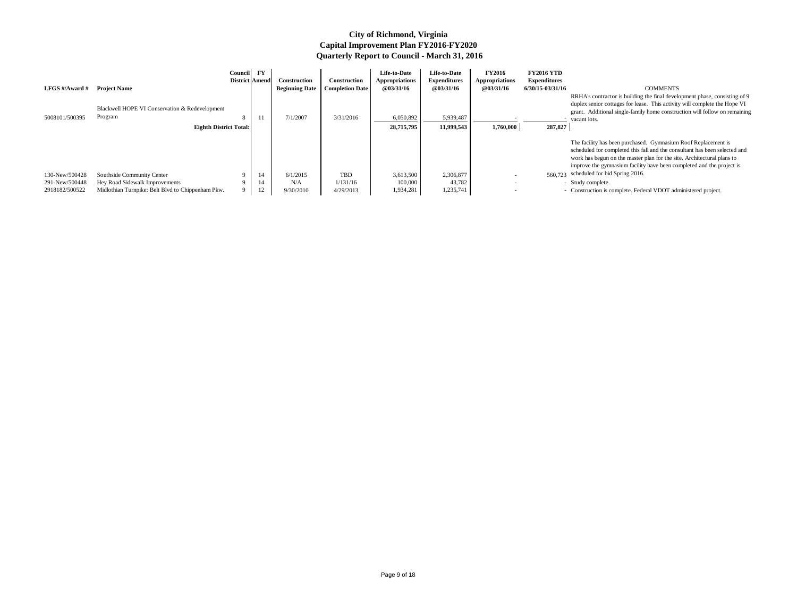RRHA's contractor is building the final development phase, consisting of 9 duplex senior cottages for lease. This activity will complete the Hope VI grant. Additional single-family home construction will follow on remaining vacant lots.

| LFGS #/Award #                                     | <b>Project Name</b>                                                                                               | Council FY<br>District Amend |                | <b>Construction</b><br><b>Beginning Date</b> | Construction<br><b>Completion Date</b> | Life-to-Date<br>Appropriations<br><b>@03/31/16</b> | Life-to-Date<br><b>Expenditures</b><br>@03/31/16 | <b>FY2016</b><br><b>Appropriations</b><br><b>@03/31/16</b> | <b>FY2016 YTD</b><br>Expenditures<br>6/30/15-03/31/16 | <b>COMMENTS</b><br>RRHA's contractor is building the final development phase, con<br>duplex senior cottages for lease. This activity will complete the                                                                                                                |
|----------------------------------------------------|-------------------------------------------------------------------------------------------------------------------|------------------------------|----------------|----------------------------------------------|----------------------------------------|----------------------------------------------------|--------------------------------------------------|------------------------------------------------------------|-------------------------------------------------------|-----------------------------------------------------------------------------------------------------------------------------------------------------------------------------------------------------------------------------------------------------------------------|
| 5008101/500395                                     | Blackwell HOPE VI Conservation & Redevelopment<br>Program<br><b>Eighth District Total:</b>                        | 8                            | 11             | 7/1/2007                                     | 3/31/2016                              | 6,050,892<br>28,715,795                            | 5,939,487<br>11,999,543                          | 1,760,000                                                  | 287,827                                               | grant. Additional single-family home construction will follow o<br>vacant lots.                                                                                                                                                                                       |
|                                                    |                                                                                                                   |                              |                |                                              |                                        |                                                    |                                                  |                                                            |                                                       | The facility has been purchased. Gymnasium Roof Replacemen<br>scheduled for completed this fall and the consultant has been se<br>work has begun on the master plan for the site. Architectural plan<br>improve the gymnasium facility have been completed and the pr |
| 130-New/500428<br>291-New/500448<br>2918182/500522 | Southside Community Center<br>Hey Road Sidewalk Improvements<br>Midlothian Turnpike: Belt Blvd to Chippenham Pkw. |                              | 14<br>14<br>12 | 6/1/2015<br>N/A<br>9/30/2010                 | <b>TBD</b><br>1/131/16<br>4/29/2013    | 3,613,500<br>100,000<br>1,934,281                  | 2,306,877<br>43,782<br>1,235,741                 |                                                            |                                                       | 560,723 scheduled for bid Spring 2016.<br>- Study complete.<br>- Construction is complete. Federal VDOT administered project.                                                                                                                                         |

The facility has been purchased. Gymnasium Roof Replacement is scheduled for completed this fall and the consultant has been selected and work has begun on the master plan for the site. Architectural plans to improve the gymnasium facility have been completed and the project is scheduled for bid Spring 2016.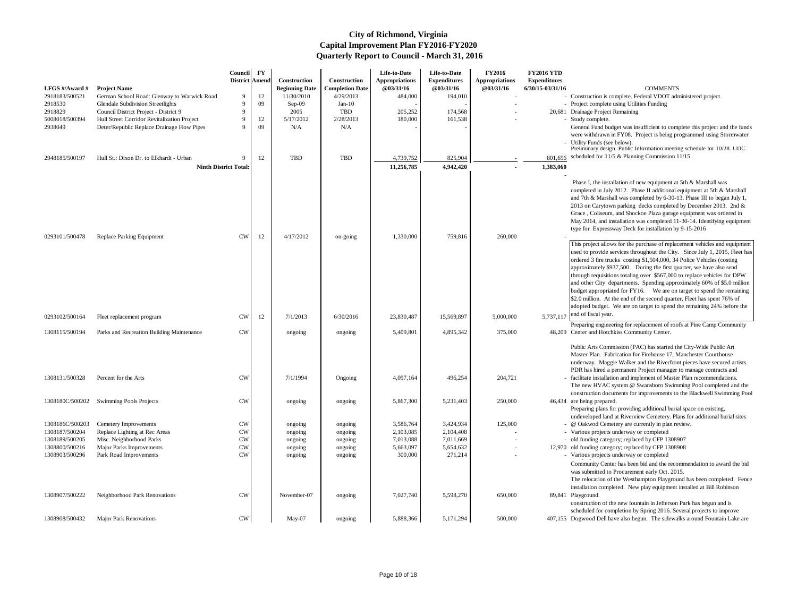|                 |                                             | <b>Council</b><br>District Amend | $\mathbf{F}\mathbf{Y}$ | Construction          | <b>Construction</b>    | Life-to-Date<br><b>Appropriations</b> | Life-to-Date<br><b>Expenditures</b> | <b>FY2016</b><br><b>Appropriations</b> | <b>FY2016 YTD</b><br><b>Expenditures</b> |                                                                                                                                                                                                                                                                                                                                                                                                                                                                                                                                                                                                                                                                                                                         |
|-----------------|---------------------------------------------|----------------------------------|------------------------|-----------------------|------------------------|---------------------------------------|-------------------------------------|----------------------------------------|------------------------------------------|-------------------------------------------------------------------------------------------------------------------------------------------------------------------------------------------------------------------------------------------------------------------------------------------------------------------------------------------------------------------------------------------------------------------------------------------------------------------------------------------------------------------------------------------------------------------------------------------------------------------------------------------------------------------------------------------------------------------------|
| LFGS #/Award #  | <b>Project Name</b>                         |                                  |                        | <b>Beginning Date</b> | <b>Completion Date</b> | @03/31/16                             | @03/31/16                           | <b>@03/31/16</b>                       | 6/30/15-03/31/16                         | <b>COMMENTS</b>                                                                                                                                                                                                                                                                                                                                                                                                                                                                                                                                                                                                                                                                                                         |
| 2918183/500521  | German School Road: Glenway to Warwick Road | $\mathbf{Q}$                     | 12                     | 11/30/2010            | 4/29/2013              | 484,000                               | 194,010                             |                                        |                                          | - Construction is complete. Federal VDOT administered project.                                                                                                                                                                                                                                                                                                                                                                                                                                                                                                                                                                                                                                                          |
| 2918530         | <b>Glendale Subdivision Streetlights</b>    | $\mathbf{Q}$                     | 09                     | $Sep-09$              | $Jan-10$               |                                       |                                     |                                        |                                          | - Project complete using Utilities Funding                                                                                                                                                                                                                                                                                                                                                                                                                                                                                                                                                                                                                                                                              |
| 2918829         | Council District Project - District 9       | $\mathbf{Q}$                     |                        | 2005                  | <b>TBD</b>             | 205,252                               | 174,568                             |                                        |                                          | 20,681 Drainage Project Remaining                                                                                                                                                                                                                                                                                                                                                                                                                                                                                                                                                                                                                                                                                       |
| 5008018/500394  | Hull Street Corridor Revitalization Project | $\Omega$                         | 12                     | 5/17/2012             | 2/28/2013              | 180,000                               | 161,538                             |                                        |                                          | - Study complete.                                                                                                                                                                                                                                                                                                                                                                                                                                                                                                                                                                                                                                                                                                       |
| 2938049         | Deter/Republic Replace Drainage Flow Pipes  | $\Omega$                         | 09                     | N/A                   | N/A                    |                                       |                                     |                                        |                                          | General Fund budget was insufficient to complete this project and the funds<br>were withdrawn in FY08. Project is being programmed using Stormwater<br>- Utility Funds (see below).                                                                                                                                                                                                                                                                                                                                                                                                                                                                                                                                     |
| 2948185/500197  | Hull St.: Dixon Dr. to Elkhardt - Urban     |                                  | 12                     | <b>TBD</b>            | <b>TBD</b>             | 4,739,752                             | 825,904                             |                                        | 801,656                                  | Preliminary design. Public Information meeting schedule for 10/28. UDC<br>scheduled for 11/5 & Planning Commission 11/15                                                                                                                                                                                                                                                                                                                                                                                                                                                                                                                                                                                                |
|                 | <b>Ninth District Total:</b>                |                                  |                        |                       |                        | 11,256,785                            | 4,942,420                           |                                        | 1,383,060                                |                                                                                                                                                                                                                                                                                                                                                                                                                                                                                                                                                                                                                                                                                                                         |
|                 |                                             |                                  |                        |                       |                        |                                       |                                     |                                        |                                          |                                                                                                                                                                                                                                                                                                                                                                                                                                                                                                                                                                                                                                                                                                                         |
| 0293101/500478  | <b>Replace Parking Equipment</b>            | <b>CW</b>                        | 12                     | 4/17/2012             | on-going               | 1,330,000                             | 759,816                             | 260,000                                |                                          | Phase I, the installation of new equipment at 5th & Marshall was<br>completed in July 2012. Phase II additional equipment at 5th & Marshall<br>and 7th & Marshall was completed by 6-30-13. Phase III to began July 1,<br>2013 on Carytown parking decks completed by December 2013. 2nd &<br>Grace, Coliseum, and Shockoe Plaza garage equipment was ordered in<br>May 2014, and installation was completed 11-30-14. Identifying equipment<br>type for Expressway Deck for installation by 9-15-2016                                                                                                                                                                                                                  |
|                 |                                             |                                  |                        |                       |                        |                                       |                                     |                                        |                                          | This project allows for the purchase of replacement vehicles and equipment<br>used to provide services throughout the City. Since July 1, 2015, Fleet has<br>ordered 3 fire trucks costing \$1,504,000, 34 Police Vehicles (costing<br>approximately \$937,500. During the first quarter, we have also send<br>through requisitions totaling over \$567,000 to replace vehicles for DPW<br>and other City departments. Spending approximately 60% of \$5.0 million<br>budget appropriated for FY16. We are on target to spend the remaining<br>\$2.0 million. At the end of the second quarter, Fleet has spent 76% of<br>adopted budget. We are on target to spend the remaining 24% before the<br>end of fiscal year. |
| 0293102/500164  | Fleet replacement program                   | <b>CW</b>                        | 12                     | 7/1/2013              | 6/30/2016              | 23,830,487                            | 15,569,897                          | 5,000,000                              | 5,737,117                                | Preparing engineering for replacement of roofs at Pine Camp Community                                                                                                                                                                                                                                                                                                                                                                                                                                                                                                                                                                                                                                                   |
| 1308115/500194  | Parks and Recreation Building Maintenance   | <b>CW</b>                        |                        | ongoing               | ongoing                | 5,409,801                             | 4,895,342                           | 375,000                                |                                          | 48,209 Center and Hotchkiss Community Center.                                                                                                                                                                                                                                                                                                                                                                                                                                                                                                                                                                                                                                                                           |
|                 |                                             |                                  |                        |                       |                        |                                       |                                     |                                        |                                          | Public Arts Commission (PAC) has started the City-Wide Public Art<br>Master Plan. Fabrication for Firehouse 17, Manchester Courthouse<br>underway. Maggie Walker and the Riverfront pieces have secured artists.                                                                                                                                                                                                                                                                                                                                                                                                                                                                                                        |
| 1308131/500328  |                                             |                                  |                        |                       |                        |                                       |                                     |                                        |                                          | PDR has hired a permanent Project manager to manage contracts and                                                                                                                                                                                                                                                                                                                                                                                                                                                                                                                                                                                                                                                       |
|                 | Percent for the Arts                        | <b>CW</b>                        |                        | 7/1/1994              | Ongoing                | 4,097,164                             | 496,254                             | 204,721                                |                                          | facilitate installation and implement of Master Plan recommendations.<br>The new HVAC system @ Swansboro Swimming Pool completed and the<br>construction documents for improvements to the Blackwell Swimming Pool                                                                                                                                                                                                                                                                                                                                                                                                                                                                                                      |
| 1308180C/500202 | <b>Swimming Pools Projects</b>              | <b>CW</b>                        |                        | ongoing               | ongoing                | 5,867,300                             | 5,231,403                           | 250,000                                |                                          | 46,434 are being prepared.<br>Preparing plans for providing additional burial space on existing,<br>undeveloped land at Riverview Cemetery. Plans for additional burial sites                                                                                                                                                                                                                                                                                                                                                                                                                                                                                                                                           |
| 1308186C/500203 | <b>Cemetery Improvements</b>                | <b>CW</b>                        |                        | ongoing               | ongoing                | 3,586,764                             | 3,424,934                           | 125,000                                |                                          | @ Oakwod Cemetery are currently in plan review.                                                                                                                                                                                                                                                                                                                                                                                                                                                                                                                                                                                                                                                                         |
| 1308187/500204  | Replace Lighting at Rec Areas               | <b>CW</b>                        |                        | ongoing               | ongoing                | 2,103,085                             | 2,104,408                           |                                        |                                          | - Various projects underway or completed                                                                                                                                                                                                                                                                                                                                                                                                                                                                                                                                                                                                                                                                                |
| 1308189/500205  | Misc. Neighborhood Parks                    | <b>CW</b>                        |                        | ongoing               | ongoing                | 7,013,088                             | 7,011,669                           |                                        |                                          | - old funding category; replaced by CFP 1308907                                                                                                                                                                                                                                                                                                                                                                                                                                                                                                                                                                                                                                                                         |
| 1308800/500216  | <b>Major Parks Improvements</b>             | <b>CW</b>                        |                        | ongoing               | ongoing                | 5,663,097                             | 5,654,632                           | $\sim$                                 |                                          | 12,970 old funding category; replaced by CFP 1308908                                                                                                                                                                                                                                                                                                                                                                                                                                                                                                                                                                                                                                                                    |
| 1308903/500296  | Park Road Improvements                      | <b>CW</b>                        |                        | ongoing               | ongoing                | 300,000                               | 271,214                             |                                        |                                          | - Various projects underway or completed                                                                                                                                                                                                                                                                                                                                                                                                                                                                                                                                                                                                                                                                                |
|                 |                                             |                                  |                        |                       |                        |                                       |                                     |                                        |                                          | Community Center has been bid and the recommendation to award the bid<br>was submitted to Procurement early Oct. 2015.<br>The relocation of the Westhampton Playground has been completed. Fence<br>installation completed. New play equipment installed at Bill Robinson                                                                                                                                                                                                                                                                                                                                                                                                                                               |
| 1308907/500222  | Neighborhood Park Renovations               | <b>CW</b>                        |                        | November-07           | ongoing                | 7,027,740                             | 5,598,270                           | 650,000                                |                                          | 89,841 Playground.<br>construction of the new fountain in Jefferson Park has begun and is<br>scheduled for completion by Spring 2016. Several projects to improve                                                                                                                                                                                                                                                                                                                                                                                                                                                                                                                                                       |
| 1308908/500432  | <b>Major Park Renovations</b>               | <b>CW</b>                        |                        | May-07                | ongoing                | 5,888,366                             | 5, 171, 294                         | 500,000                                |                                          | 407,155 Dogwood Dell have also begun. The sidewalks around Fountain Lake are                                                                                                                                                                                                                                                                                                                                                                                                                                                                                                                                                                                                                                            |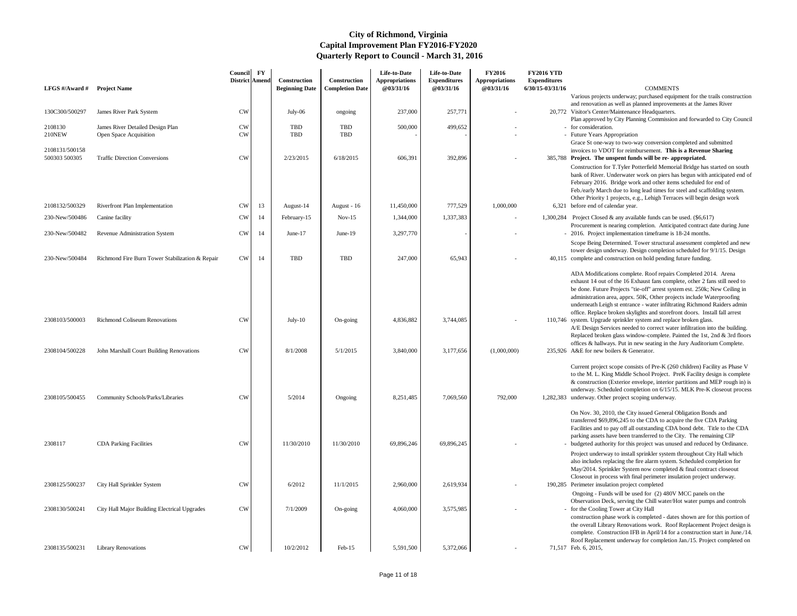| LFGS #/Award #                  | <b>Project Name</b>                                        | <b>Council</b><br><b>District Amend</b> | $\mathbf{F}\mathbf{Y}$ | Construction<br><b>Beginning Date</b> | Construction<br><b>Completion Date</b> | Life-to-Date<br><b>Appropriations</b><br>@03/31/16 | Life-to-Date<br><b>Expenditures</b><br>@03/31/16 | <b>FY2016</b><br><b>Appropriations</b><br>@03/31/16 | <b>FY2016 YTD</b><br><b>Expenditures</b><br>6/30/15-03/31/16 | <b>COMMENTS</b>                                                                                                                                                                                                                                                                                                                                                                                                                                                                                                                                                                                                                                               |
|---------------------------------|------------------------------------------------------------|-----------------------------------------|------------------------|---------------------------------------|----------------------------------------|----------------------------------------------------|--------------------------------------------------|-----------------------------------------------------|--------------------------------------------------------------|---------------------------------------------------------------------------------------------------------------------------------------------------------------------------------------------------------------------------------------------------------------------------------------------------------------------------------------------------------------------------------------------------------------------------------------------------------------------------------------------------------------------------------------------------------------------------------------------------------------------------------------------------------------|
|                                 |                                                            |                                         |                        |                                       |                                        |                                                    |                                                  |                                                     |                                                              | Various projects underway; purchased equipment for the tra                                                                                                                                                                                                                                                                                                                                                                                                                                                                                                                                                                                                    |
| 130C300/500297                  | James River Park System                                    | <b>CW</b>                               |                        | July-06                               | ongoing                                | 237,000                                            | 257,771                                          |                                                     |                                                              | and renovation as well as planned improvements at the Jame<br>20,772 Visitor's Center/Maintenance Headquarters.<br>Plan approved by City Planning Commission and forwarded                                                                                                                                                                                                                                                                                                                                                                                                                                                                                    |
| 2108130<br><b>210NEW</b>        | James River Detailed Design Plan<br>Open Space Acquisition | <b>CW</b><br><b>CW</b>                  |                        | <b>TBD</b><br>TBD                     | <b>TBD</b><br><b>TBD</b>               | 500,000                                            | 499,652                                          |                                                     |                                                              | - for consideration.<br>- Future Years Appropriation<br>Grace St one-way to two-way conversion completed and sul                                                                                                                                                                                                                                                                                                                                                                                                                                                                                                                                              |
| 2108131/500158<br>500303 500305 | <b>Traffic Direction Conversions</b>                       | <b>CW</b>                               |                        | 2/23/2015                             | 6/18/2015                              | 606,391                                            | 392,896                                          |                                                     |                                                              | invoices to VDOT for reimbursement. This is a Revenue S<br>385,788 Project. The unspent funds will be re-appropriated.<br>Construction for T.Tyler Potterfield Memorial Bridge has st.<br>bank of River. Underwater work on piers has begun with an<br>February 2016. Bridge work and other items scheduled for<br>Feb./early March due to long lead times for steel and scaffol<br>Other Priority 1 projects, e.g., Lehigh Terraces will begin de                                                                                                                                                                                                            |
| 2108132/500329                  | Riverfront Plan Implementation                             | CW                                      | 13                     | August-14                             | August - 16                            | 11,450,000                                         | 777,529                                          | 1,000,000                                           |                                                              | 6,321 before end of calendar year.                                                                                                                                                                                                                                                                                                                                                                                                                                                                                                                                                                                                                            |
| 230-New/500486                  | Canine facility                                            | <b>CW</b>                               | 14                     | February-15                           | $Nov-15$                               | 1,344,000                                          | 1,337,383                                        |                                                     |                                                              | 1,300,284 Project Closed & any available funds can be used. (\$6,617)                                                                                                                                                                                                                                                                                                                                                                                                                                                                                                                                                                                         |
| 230-New/500482                  | Revenue Administration System                              | ${\rm\bf CW}$                           | 14                     | June- $17$                            | June-19                                | 3,297,770                                          |                                                  |                                                     |                                                              | Procurement is nearing completion. Anticipated contract da<br>2016. Project implementation timeframe is 18-24 months.                                                                                                                                                                                                                                                                                                                                                                                                                                                                                                                                         |
| 230-New/500484                  | Richmond Fire Burn Tower Stabilization & Repair            | CW                                      | 14                     | TBD                                   | <b>TBD</b>                             | 247,000                                            | 65,943                                           |                                                     |                                                              | Scope Being Determined. Tower structural assessment com-<br>tower design underway. Design completion scheduled for 9/<br>40,115 complete and construction on hold pending future funding.                                                                                                                                                                                                                                                                                                                                                                                                                                                                     |
| 2308103/500003                  | <b>Richmond Coliseum Renovations</b>                       | <b>CW</b>                               |                        | July-10                               | On-going                               | 4,836,882                                          | 3,744,085                                        |                                                     |                                                              | ADA Modifications complete. Roof repairs Completed 2014<br>exhaust 14 out of the 16 Exhaust fans complete, other 2 fans<br>be done. Future Projects "tie-off" arrest system est. 250k; N<br>administration area, apprx. 50K, Other projects include Wat<br>underneath Leigh st entrance - water infiltrating Richmond F<br>office. Replace broken skylights and storefront doors. Instal<br>110,746 system. Upgrade sprinkler system and replace broken glass.<br>A/E Design Services needed to correct water infiltration into<br>Replaced broken glass window-complete. Painted the 1st, 2<br>offices & hallways. Put in new seating in the Jury Auditorium |
| 2308104/500228                  | John Marshall Court Building Renovations                   | <b>CW</b>                               |                        | 8/1/2008                              | 5/1/2015                               | 3,840,000                                          | 3,177,656                                        | (1,000,000)                                         |                                                              | 235,926 A&E for new boilers & Generator.<br>Current project scope consists of Pre-K (260 children) Facili<br>to the M. L. King Middle School Project. PreK Facility desi                                                                                                                                                                                                                                                                                                                                                                                                                                                                                      |
| 2308105/500455                  | Community Schools/Parks/Libraries                          | <b>CW</b>                               |                        | 5/2014                                | Ongoing                                | 8,251,485                                          | 7,069,560                                        | 792,000                                             | 1,282,383                                                    | & construction (Exterior envelope, interior partitions and M<br>underway. Scheduled completion on 6/15/15. MLK Pre-K c<br>underway. Other project scoping underway.                                                                                                                                                                                                                                                                                                                                                                                                                                                                                           |
| 2308117                         | <b>CDA Parking Facilities</b>                              | <b>CW</b>                               |                        | 11/30/2010                            | 11/30/2010                             | 69,896,246                                         | 69,896,245                                       |                                                     |                                                              | On Nov. 30, 2010, the City issued General Obligation Bonds<br>transferred $$69,896,245$ to the CDA to acquire the five CDA<br>Facilities and to pay off all outstanding CDA bond debt. Tit<br>parking assets have been transferred to the City. The remain<br>budgeted authority for this project was unused and reduced                                                                                                                                                                                                                                                                                                                                      |
| 2308125/500237                  |                                                            | <b>CW</b>                               |                        | 6/2012                                | 11/1/2015                              | 2,960,000                                          | 2,619,934                                        |                                                     |                                                              | Project underway to install sprinkler system throughout City<br>also includes replacing the fire alarm system. Scheduled com<br>May/2014. Sprinkler System now completed & final contrac<br>Closeout in process with final perimeter insulation project un<br>190,285 Perimeter insulation project completed                                                                                                                                                                                                                                                                                                                                                  |
|                                 | City Hall Sprinkler System                                 |                                         |                        |                                       |                                        |                                                    |                                                  |                                                     |                                                              | Ongoing - Funds will be used for (2) 480V MCC panels on                                                                                                                                                                                                                                                                                                                                                                                                                                                                                                                                                                                                       |
| 2308130/500241                  | City Hall Major Building Electrical Upgrades               | <b>CW</b>                               |                        | 7/1/2009                              | On-going                               | 4,060,000                                          | 3,575,985                                        |                                                     |                                                              | Observation Deck, serving the Chill water/Hot water pumps<br>for the Cooling Tower at City Hall<br>construction phase work is completed - dates shown are for<br>the overall Library Renovations work. Roof Replacement P<br>complete. Construction IFB in April/14 for a construction s                                                                                                                                                                                                                                                                                                                                                                      |
| 2308135/500231                  | <b>Library Renovations</b>                                 | CW                                      |                        | 10/2/2012                             | $Feb-15$                               | 5,591,500                                          | 5,372,066                                        |                                                     |                                                              | Roof Replacement underway for completion Jan./15. Project<br>71,517 Feb. 6, 2015,                                                                                                                                                                                                                                                                                                                                                                                                                                                                                                                                                                             |

| 6 YTD         |                                                                                                                                                         |
|---------------|---------------------------------------------------------------------------------------------------------------------------------------------------------|
| ditures       |                                                                                                                                                         |
| 03/31/16      | <b>COMMENTS</b>                                                                                                                                         |
|               | Various projects underway; purchased equipment for the trails construction                                                                              |
|               | and renovation as well as planned improvements at the James River                                                                                       |
|               | 20,772 Visitor's Center/Maintenance Headquarters.<br>Plan approved by City Planning Commission and forwarded to City Council                            |
|               | for consideration.                                                                                                                                      |
|               | - Future Years Appropriation                                                                                                                            |
|               | Grace St one-way to two-way conversion completed and submitted                                                                                          |
|               | invoices to VDOT for reimbursement. This is a Revenue Sharing                                                                                           |
|               | 385,788 Project. The unspent funds will be re-appropriated.                                                                                             |
|               | Construction for T.Tyler Potterfield Memorial Bridge has started on south                                                                               |
|               | bank of River. Underwater work on piers has begun with anticipated end of<br>February 2016. Bridge work and other items scheduled for end of            |
|               | Feb./early March due to long lead times for steel and scaffolding system.                                                                               |
|               | Other Priority 1 projects, e.g., Lehigh Terraces will begin design work                                                                                 |
|               | 6,321 before end of calendar year.                                                                                                                      |
|               | .300,284 Project Closed & any available funds can be used. (\$6,617)                                                                                    |
|               | Procurement is nearing completion. Anticipated contract date during June                                                                                |
| $\frac{1}{2}$ | 2016. Project implementation timeframe is 18-24 months.                                                                                                 |
|               | Scope Being Determined. Tower structural assessment completed and new                                                                                   |
|               | tower design underway. Design completion scheduled for 9/1/15. Design                                                                                   |
| 40,115        | complete and construction on hold pending future funding.                                                                                               |
|               | ADA Modifications complete. Roof repairs Completed 2014. Arena                                                                                          |
|               | exhaust 14 out of the 16 Exhaust fans complete, other 2 fans still need to                                                                              |
|               | be done. Future Projects "tie-off" arrest system est. 250k; New Ceiling in                                                                              |
|               | administration area, apprx. 50K, Other projects include Waterproofing                                                                                   |
|               | underneath Leigh st entrance - water infiltrating Richmond Raiders admin                                                                                |
|               | office. Replace broken skylights and storefront doors. Install fall arrest                                                                              |
| 110,746       | system. Upgrade sprinkler system and replace broken glass.<br>A/E Design Services needed to correct water infiltration into the building.               |
|               | Replaced broken glass window-complete. Painted the 1st, 2nd & 3rd floors                                                                                |
|               | offices & hallways. Put in new seating in the Jury Auditorium Complete.                                                                                 |
|               | 235,926 A&E for new boilers & Generator.                                                                                                                |
|               |                                                                                                                                                         |
|               | Current project scope consists of Pre-K (260 children) Facility as Phase V<br>to the M. L. King Middle School Project. PreK Facility design is complete |
|               | & construction (Exterior envelope, interior partitions and MEP rough in) is                                                                             |
|               | underway. Scheduled completion on 6/15/15. MLK Pre-K closeout process                                                                                   |
| ,282,383      | underway. Other project scoping underway.                                                                                                               |
|               |                                                                                                                                                         |
|               | On Nov. 30, 2010, the City issued General Obligation Bonds and<br>transferred \$69,896,245 to the CDA to acquire the five CDA Parking                   |
|               | Facilities and to pay off all outstanding CDA bond debt. Title to the CDA                                                                               |
|               | parking assets have been transferred to the City. The remaining CIP                                                                                     |
|               | budgeted authority for this project was unused and reduced by Ordinance.                                                                                |
|               | Project underway to install sprinkler system throughout City Hall which                                                                                 |
|               | also includes replacing the fire alarm system. Scheduled completion for                                                                                 |
|               | May/2014. Sprinkler System now completed & final contract closeout                                                                                      |
|               | Closeout in process with final perimeter insulation project underway.<br>190,285 Perimeter insulation project completed                                 |
|               | Ongoing - Funds will be used for (2) 480V MCC panels on the                                                                                             |
|               | Observation Deck, serving the Chill water/Hot water pumps and controls                                                                                  |
|               | for the Cooling Tower at City Hall                                                                                                                      |
|               | construction phase work is completed - dates shown are for this portion of                                                                              |
|               | the overall Library Renovations work. Roof Replacement Project design is                                                                                |
|               | complete. Construction IFB in April/14 for a construction start in June./14.                                                                            |

Roof Replacement underway for completion Jan./15. Project completed on Feb. 6, 2015,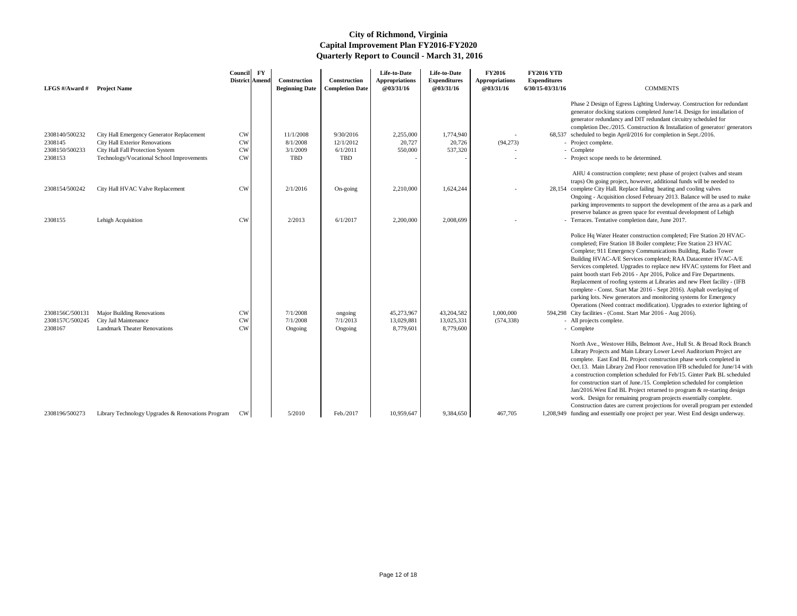AHU 4 construction complete; next phase of project (valves and steam traps) On going project, however, additional funds will be needed to 28,154 complete City Hall. Replace failing heating and cooling valves

Phase 2 Design of Egress Lighting Underway. Construction for redundant generator docking stations completed June/14. Design for installation of generator redundancy and DIT redundant circuitry scheduled for completion Dec./2015. Construction & Installation of generator/ generators

### scheduled to begin April/2016 for completion in Sept./2016.

- 
- 
- Project scope needs to be determined.

- City facilities (Const. Start Mar 2016 Aug 2016). - All projects complete.
	-

| LFGS #/Award #                                | <b>Project Name</b>                                                                               | Council FY<br><b>District Amend</b> | <b>Construction</b><br><b>Beginning Date</b> | Construction<br><b>Completion Date</b> | Life-to-Date<br><b>Appropriations</b><br><b>@03/31/16</b> | Life-to-Date<br><b>Expenditures</b><br>@03/31/16 | <b>FY2016</b><br><b>Appropriations</b><br>@03/31/16 | <b>FY2016 YTD</b><br><b>Expenditures</b><br>6/30/15-03/31/16 | <b>COMMENTS</b>                                                                                                                                                                                                                                                                                                                                                                                                                                                                                                                                                                     |
|-----------------------------------------------|---------------------------------------------------------------------------------------------------|-------------------------------------|----------------------------------------------|----------------------------------------|-----------------------------------------------------------|--------------------------------------------------|-----------------------------------------------------|--------------------------------------------------------------|-------------------------------------------------------------------------------------------------------------------------------------------------------------------------------------------------------------------------------------------------------------------------------------------------------------------------------------------------------------------------------------------------------------------------------------------------------------------------------------------------------------------------------------------------------------------------------------|
| 2308140/500232                                | City Hall Emergency Generator Replacement                                                         | <b>CW</b>                           | 11/1/2008                                    | 9/30/2016                              | 2,255,000                                                 | 1,774,940                                        |                                                     |                                                              | Phase 2 Design of Egress Lighting Underway<br>generator docking stations completed June/14<br>generator redundancy and DIT redundant cir<br>completion Dec./2015. Construction & Instal<br>68,537 scheduled to begin April/2016 for completion                                                                                                                                                                                                                                                                                                                                      |
| 2308145                                       | City Hall Exterior Renovations                                                                    | <b>CW</b>                           | 8/1/2008                                     | 12/1/2012                              | 20,727                                                    | 20,726                                           | (94,273)                                            |                                                              | - Project complete.                                                                                                                                                                                                                                                                                                                                                                                                                                                                                                                                                                 |
| 2308150/500233                                | City Hall Fall Protection System                                                                  | <b>CW</b>                           | 3/1/2009                                     | 6/1/2011                               | 550,000                                                   | 537,320                                          |                                                     |                                                              | - Complete                                                                                                                                                                                                                                                                                                                                                                                                                                                                                                                                                                          |
| 2308153                                       | Technology/Vocational School Improvements                                                         | <b>CW</b>                           | <b>TBD</b>                                   | <b>TBD</b>                             |                                                           |                                                  |                                                     |                                                              | - Project scope needs to be determined.                                                                                                                                                                                                                                                                                                                                                                                                                                                                                                                                             |
| 2308154/500242                                | City Hall HVAC Valve Replacement                                                                  | <b>CW</b>                           | 2/1/2016                                     | On-going                               | 2,210,000                                                 | 1,624,244                                        |                                                     |                                                              | AHU 4 construction complete; next phase of<br>traps) On going project, however, additional<br>28,154 complete City Hall. Replace failing heating a<br>Ongoing - Acquisition closed February 2013.<br>parking improvements to support the develop                                                                                                                                                                                                                                                                                                                                    |
| 2308155                                       | Lehigh Acquisition                                                                                | <b>CW</b>                           | 2/2013                                       | 6/1/2017                               | 2,200,000                                                 | 2,008,699                                        |                                                     |                                                              | preserve balance as green space for eventual<br>- Terraces. Tentative completion date, June 20                                                                                                                                                                                                                                                                                                                                                                                                                                                                                      |
| 2308156C/500131<br>2308157C/500245<br>2308167 | <b>Major Building Renovations</b><br>City Jail Maintenance<br><b>Landmark Theater Renovations</b> | <b>CW</b><br><b>CW</b><br><b>CW</b> | 7/1/2008<br>7/1/2008<br>Ongoing              | ongoing<br>7/1/2013<br>Ongoing         | 45,273,967<br>13,029,881<br>8,779,601                     | 43,204,582<br>13,025,331<br>8,779,600            | 1,000,000<br>(574, 338)                             |                                                              | Police Hq Water Heater construction comple<br>completed; Fire Station 18 Boiler complete; l<br>Complete; 911 Emergency Communications<br>Building HVAC-A/E Services completed; RA<br>Services completed. Upgrades to replace new<br>paint booth start Feb 2016 - Apr 2016, Police<br>Replacement of roofing systems at Libraries a<br>complete - Const. Start Mar 2016 - Sept 201<br>parking lots. New generators and monitoring<br>Operations (Need contract modification). Up<br>594,298 City facilities - (Const. Start Mar 2016 - Aug<br>- All projects complete.<br>- Complete |
| 2308196/500273                                | Library Technology Upgrades & Renovations Program                                                 | CW                                  | 5/2010                                       | Feb./2017                              | 10,959,647                                                | 9,384,650                                        | 467,705                                             |                                                              | North Ave., Westover Hills, Belmont Ave., I<br>Library Projects and Main Library Lower Le<br>complete. East End BL Project construction<br>Oct.13. Main Library 2nd Floor renovation I<br>a construction completion scheduled for Feb/<br>for construction start of June./15. Completion<br>Jan/2016. West End BL Project returned to p<br>work. Design for remaining program project<br>Construction dates are current projections for<br>1,208,949 funding and essentially one project per year.                                                                                  |

- Ongoing Acquisition closed February 2013. Balance will be used to make parking improvements to support the development of the area as a park and preserve balance as green space for eventual development of Lehigh Terraces. Tentative completion date, June 2017.
	-

Police Hq Water Heater construction completed; Fire Station 20 HVACcompleted; Fire Station 18 Boiler complete; Fire Station 23 HVAC Complete; 911 Emergency Communications Building, Radio Tower Building HVAC-A/E Services completed; RAA Datacenter HVAC-A/E Services completed. Upgrades to replace new HVAC systems for Fleet and paint booth start Feb 2016 - Apr 2016, Police and Fire Departments. Replacement of roofing systems at Libraries and new Fleet facility - (IFB complete - Const. Start Mar 2016 - Sept 2016). Asphalt overlaying of parking lots. New generators and monitoring systems for Emergency Operations (Need contract modification). Upgrades to exterior lighting of

North Ave., Westover Hills, Belmont Ave., Hull St. & Broad Rock Branch Library Projects and Main Library Lower Level Auditorium Project are complete. East End BL Project construction phase work completed in Oct.13. Main Library 2nd Floor renovation IFB scheduled for June/14 with a construction completion scheduled for Feb/15. Ginter Park BL scheduled for construction start of June./15. Completion scheduled for completion Jan/2016.West End BL Project returned to program & re-starting design work. Design for remaining program projects essentially complete. Construction dates are current projections for overall program per extended

1,208,949 funding and essentially one project per year. West End design underway.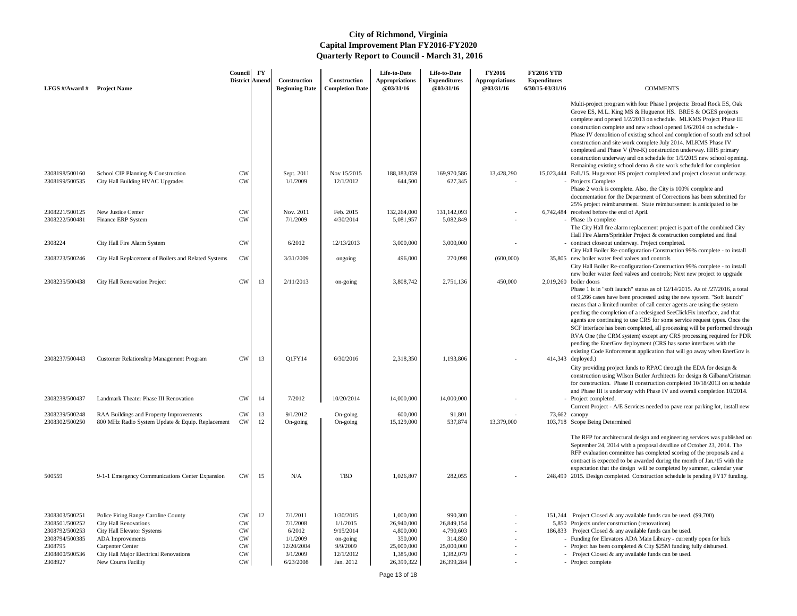| LFGS #/Award #                                                                                               | <b>Project Name</b>                                                                                                                                                                                                      | Council<br>District Amend                                                            | $\mathbf{F}\mathbf{Y}$ | Construction<br><b>Beginning Date</b>                                             | Construction<br><b>Completion Date</b>                                               | Life-to-Date<br><b>Appropriations</b><br>@03/31/16                                       | Life-to-Date<br><b>Expenditures</b><br>@03/31/16                                       | <b>FY2016</b><br><b>Appropriations</b><br><b>@03/31/16</b> | <b>FY2016 YTD</b><br><b>Expenditures</b><br>6/30/15-03/31/16 | <b>COMMENTS</b>                                                                                                                                                                                                                                                                                                                                                                                                                                                                                                                                                                                                                                                                                                               |
|--------------------------------------------------------------------------------------------------------------|--------------------------------------------------------------------------------------------------------------------------------------------------------------------------------------------------------------------------|--------------------------------------------------------------------------------------|------------------------|-----------------------------------------------------------------------------------|--------------------------------------------------------------------------------------|------------------------------------------------------------------------------------------|----------------------------------------------------------------------------------------|------------------------------------------------------------|--------------------------------------------------------------|-------------------------------------------------------------------------------------------------------------------------------------------------------------------------------------------------------------------------------------------------------------------------------------------------------------------------------------------------------------------------------------------------------------------------------------------------------------------------------------------------------------------------------------------------------------------------------------------------------------------------------------------------------------------------------------------------------------------------------|
|                                                                                                              |                                                                                                                                                                                                                          |                                                                                      |                        |                                                                                   |                                                                                      |                                                                                          |                                                                                        |                                                            |                                                              | Multi-project program with four Phase I projects: Broad Rock ES, Oak<br>Grove ES, M.L. King MS & Huguenot HS. BRES & OGES projects<br>complete and opened 1/2/2013 on schedule. MLKMS Project Phase III<br>construction complete and new school opened 1/6/2014 on schedule -<br>Phase IV demolition of existing school and completion of south end school<br>construction and site work complete July 2014. MLKMS Phase IV<br>completed and Phase V (Pre-K) construction underway. HHS primary<br>construction underway and on schedule for 1/5/2015 new school opening.<br>Remaining existing school demo & site work scheduled for completion                                                                              |
| 2308198/500160<br>2308199/500535                                                                             | School CIP Planning & Construction<br>City Hall Building HVAC Upgrades                                                                                                                                                   | <b>CW</b><br>CW                                                                      |                        | Sept. 2011<br>1/1/2009                                                            | Nov 15/2015<br>12/1/2012                                                             | 188, 183, 059<br>644,500                                                                 | 169,970,586<br>627,345                                                                 | 13,428,290                                                 |                                                              | 15,023,444 Fall./15. Huguenot HS project completed and project closeout underway.<br>- Projects Complete<br>Phase 2 work is complete. Also, the City is 100% complete and<br>documentation for the Department of Corrections has been submitted for<br>25% project reimbursement. State reimbursement is anticipated to be                                                                                                                                                                                                                                                                                                                                                                                                    |
| 2308221/500125<br>2308222/500481                                                                             | New Justice Center<br>Finance ERP System                                                                                                                                                                                 | <b>CW</b><br>CW                                                                      |                        | Nov. 2011<br>7/1/2009                                                             | Feb. 2015<br>4/30/2014                                                               | 132,264,000<br>5,081,957                                                                 | 131,142,093<br>5,082,849                                                               |                                                            |                                                              | 6,742,484 received before the end of April.<br>- Phase 1b complete<br>The City Hall fire alarm replacement project is part of the combined City<br>Hall Fire Alarm/Sprinkler Project & construction completed and final                                                                                                                                                                                                                                                                                                                                                                                                                                                                                                       |
| 2308224                                                                                                      | City Hall Fire Alarm System                                                                                                                                                                                              | <b>CW</b>                                                                            |                        | 6/2012                                                                            | 12/13/2013                                                                           | 3,000,000                                                                                | 3,000,000                                                                              |                                                            |                                                              | - contract closeout underway. Project completed.<br>City Hall Boiler Re-configuration-Construction 99% complete - to install                                                                                                                                                                                                                                                                                                                                                                                                                                                                                                                                                                                                  |
| 2308223/500246                                                                                               | City Hall Replacement of Boilers and Related Systems                                                                                                                                                                     | CW                                                                                   |                        | 3/31/2009                                                                         | ongoing                                                                              | 496,000                                                                                  | 270,098                                                                                | (600,000)                                                  |                                                              | 35,805 new boiler water feed valves and controls<br>City Hall Boiler Re-configuration-Construction 99% complete - to install<br>new boiler water feed valves and controls; Next new project to upgrade                                                                                                                                                                                                                                                                                                                                                                                                                                                                                                                        |
| 2308235/500438                                                                                               | City Hall Renovation Project                                                                                                                                                                                             | CW                                                                                   | 13                     | 2/11/2013                                                                         | on-going                                                                             | 3,808,742                                                                                | 2,751,136                                                                              | 450,000                                                    |                                                              | $2,019,260$ boiler doors<br>Phase 1 is in "soft launch" status as of $12/14/2015$ . As of $/27/2016$ , a total<br>of 9,266 cases have been processed using the new system. "Soft launch"<br>means that a limited number of call center agents are using the system<br>pending the completion of a redesigned SeeClickFix interface, and that<br>agents are continuing to use CRS for some service request types. Once the<br>SCF interface has been completed, all processing will be performed through<br>RVA One (the CRM system) except any CRS processing required for PDR<br>pending the EnerGov deployment (CRS has some interfaces with the<br>existing Code Enforcement application that will go away when EnerGov is |
| 2308237/500443                                                                                               | <b>Customer Relationship Management Program</b>                                                                                                                                                                          | CW                                                                                   | 13                     | Q1FY14                                                                            | 6/30/2016                                                                            | 2,318,350                                                                                | 1,193,806                                                                              |                                                            |                                                              | 414,343 deployed.)<br>City providing project funds to RPAC through the EDA for design $\&$<br>construction using Wilson Butler Architects for design & Gilbane/Cristman<br>for construction. Phase II construction completed 10/18/2013 on schedule<br>and Phase III is underway with Phase IV and overall completion 10/2014.                                                                                                                                                                                                                                                                                                                                                                                                |
| 2308238/500437                                                                                               | Landmark Theater Phase III Renovation                                                                                                                                                                                    | <b>CW</b>                                                                            | 14                     | 7/2012                                                                            | 10/20/2014                                                                           | 14,000,000                                                                               | 14,000,000                                                                             |                                                            |                                                              | - Project completed.<br>Current Project - A/E Services needed to pave rear parking lot, install new                                                                                                                                                                                                                                                                                                                                                                                                                                                                                                                                                                                                                           |
| 2308239/500248<br>2308302/500250                                                                             | RAA Buildings and Property Improvements<br>800 MHz Radio System Update & Equip. Replacement                                                                                                                              | <b>CW</b><br>CW                                                                      | 13<br>12               | 9/1/2012<br>On-going                                                              | On-going<br>On-going                                                                 | 600,000<br>15,129,000                                                                    | 91,801<br>537,874                                                                      | 13,379,000                                                 | 73,662 canopy                                                | 103,718 Scope Being Determined                                                                                                                                                                                                                                                                                                                                                                                                                                                                                                                                                                                                                                                                                                |
| 500559                                                                                                       | 9-1-1 Emergency Communications Center Expansion                                                                                                                                                                          | CW                                                                                   | 15                     | N/A                                                                               | TBD                                                                                  | 1,026,807                                                                                | 282,055                                                                                |                                                            |                                                              | The RFP for architectural design and engineering services was published on<br>September 24, 2014 with a proposal deadline of October 23, 2014. The<br>RFP evaluation committee has completed scoring of the proposals and a<br>contract is expected to be awarded during the month of Jan./15 with the<br>expectation that the design will be completed by summer, calendar year<br>248,499 2015. Design completed. Construction schedule is pending FY17 funding.                                                                                                                                                                                                                                                            |
| 2308303/500251<br>2308501/500252<br>2308792/500253<br>2308794/500385<br>2308795<br>2308800/500536<br>2308927 | Police Firing Range Caroline County<br><b>City Hall Renovations</b><br><b>City Hall Elevator Systems</b><br>ADA Improvements<br><b>Carpenter Center</b><br>City Hall Major Electrical Renovations<br>New Courts Facility | <b>CW</b><br><b>CW</b><br>${\rm\bf CW}$<br><b>CW</b><br><b>CW</b><br><b>CW</b><br>CW | 12                     | 7/1/2011<br>7/1/2008<br>6/2012<br>1/1/2009<br>12/20/2004<br>3/1/2009<br>6/23/2008 | 1/30/2015<br>1/1/2015<br>9/15/2014<br>on-going<br>9/9/2009<br>12/1/2012<br>Jan. 2012 | 1,000,000<br>26,940,000<br>4,800,000<br>350,000<br>25,000,000<br>1,385,000<br>26,399,322 | 990,300<br>26,849,154<br>4,790,603<br>314,850<br>25,000,000<br>1,382,079<br>26,399,284 |                                                            |                                                              | 151,244 Project Closed & any available funds can be used. (\$9,700)<br>5,850 Projects under construction (renovations)<br>186,833 Project Closed & any available funds can be used.<br>- Funding for Elevators ADA Main Library - currently open for bids<br>- Project has been completed & City \$25M funding fully disbursed.<br>- Project Closed & any available funds can be used.<br>- Project complete                                                                                                                                                                                                                                                                                                                  |

Page 13 of 18

- 
- -
	-
	-
	-
	-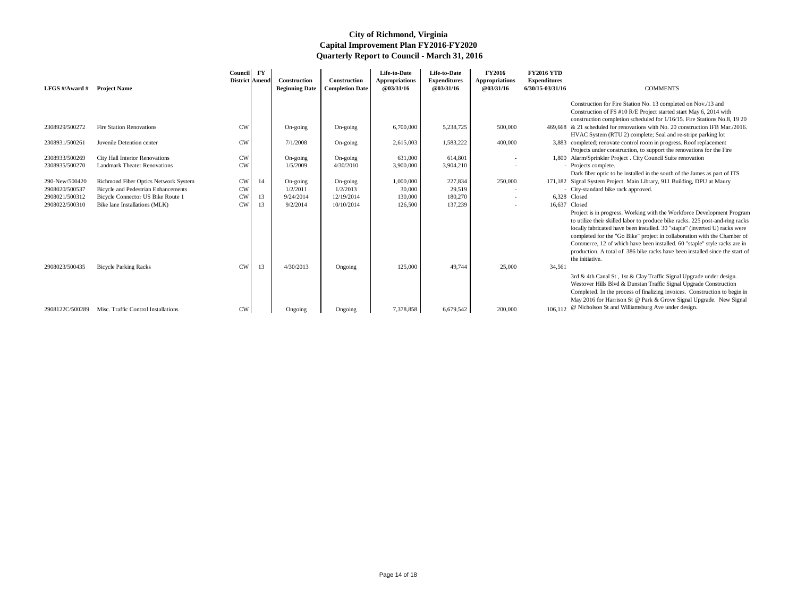| LFGS #/Award # Project Name |                                            | Council<br>District Amend | $\mathbf{F}\mathbf{Y}$ | Construction<br><b>Beginning Date</b> | Construction<br><b>Completion Date</b> | Life-to-Date<br><b>Appropriations</b><br><b>@03/31/16</b> | Life-to-Date<br><b>Expenditures</b><br>@03/31/16 | <b>FY2016</b><br><b>Appropriations</b><br>@03/31/16 | <b>FY2016 YTD</b><br><b>Expenditures</b><br>6/30/15-03/31/16 | <b>COMMENTS</b>                                                                                                                                                                                                                                                                                                                                                                                                                                                                                    |
|-----------------------------|--------------------------------------------|---------------------------|------------------------|---------------------------------------|----------------------------------------|-----------------------------------------------------------|--------------------------------------------------|-----------------------------------------------------|--------------------------------------------------------------|----------------------------------------------------------------------------------------------------------------------------------------------------------------------------------------------------------------------------------------------------------------------------------------------------------------------------------------------------------------------------------------------------------------------------------------------------------------------------------------------------|
|                             |                                            |                           |                        |                                       |                                        |                                                           |                                                  |                                                     |                                                              | Construction for Fire Station No. 13 completed on Nov./13 and<br>Construction of FS #10 R/E Project started start May 6, 2014 with<br>construction completion scheduled for 1/16/15. Fire Stations No.8, 19 20                                                                                                                                                                                                                                                                                     |
| 2308929/500272              | <b>Fire Station Renovations</b>            | <b>CW</b>                 |                        | On-going                              | On-going                               | 6,700,000                                                 | 5,238,725                                        | 500,000                                             |                                                              | 469,668 & 21 scheduled for renovations with No. 20 construction IFB Mar./2016.<br>HVAC System (RTU 2) complete; Seal and re-stripe parking lot                                                                                                                                                                                                                                                                                                                                                     |
| 2308931/500261              | Juvenile Detention center                  | <b>CW</b>                 |                        | 7/1/2008                              | On-going                               | 2,615,003                                                 | 1,583,222                                        | 400,000                                             |                                                              | 3,883 completed; renovate control room in progress. Roof replacement<br>Projects under construction, to support the renovations for the Fire                                                                                                                                                                                                                                                                                                                                                       |
| 2308933/500269              | <b>City Hall Interior Renovations</b>      | <b>CW</b>                 |                        | On-going                              | On-going                               | 631,000                                                   | 614,801                                          |                                                     |                                                              | 1,800 Alarm/Sprinkler Project . City Council Suite renovation                                                                                                                                                                                                                                                                                                                                                                                                                                      |
| 2308935/500270              | <b>Landmark Theater Renovations</b>        | <b>CW</b>                 |                        | 1/5/2009                              | 4/30/2010                              | 3,900,000                                                 | 3,904,210                                        |                                                     |                                                              | - Projects complete.<br>Dark fiber optic to be installed in the south of the James as part of ITS                                                                                                                                                                                                                                                                                                                                                                                                  |
| 290-New/500420              | Richmond Fiber Optics Network System       | <b>CW</b>                 | 14                     | On-going                              | On-going                               | 1,000,000                                                 | 227,834                                          | 250,000                                             |                                                              | 171,182 Signal System Project. Main Library, 911 Building, DPU at Maury                                                                                                                                                                                                                                                                                                                                                                                                                            |
| 2908020/500537              | <b>Bicycle and Pedestrian Enhancements</b> | <b>CW</b>                 |                        | 1/2/2011                              | 1/2/2013                               | 30,000                                                    | 29,519                                           |                                                     |                                                              | - City-standard bike rack approved.                                                                                                                                                                                                                                                                                                                                                                                                                                                                |
| 2908021/500312              | Bicycle Connector US Bike Route 1          | <b>CW</b>                 | 13                     | 9/24/2014                             | 12/19/2014                             | 130,000                                                   | 180,270                                          |                                                     |                                                              | 6,328 Closed                                                                                                                                                                                                                                                                                                                                                                                                                                                                                       |
| 2908022/500310              | Bike lane Installations (MLK)              | CW                        | 13                     | 9/2/2014                              | 10/10/2014                             | 126,500                                                   | 137,239                                          |                                                     | 16,637 Closed                                                | Project is in progress. Working with the Workforce Development Program<br>to utilize their skilled labor to produce bike racks. 225 post-and-ring racks<br>locally fabricated have been installed. 30 "staple" (inverted U) racks were<br>completed for the "Go Bike" project in collaboration with the Chamber of<br>Commerce, 12 of which have been installed. 60 "staple" style racks are in<br>production. A total of 386 bike racks have been installed since the start of<br>the initiative. |
| 2908023/500435              | <b>Bicycle Parking Racks</b>               | <b>CW</b>                 | 13                     | 4/30/2013                             | Ongoing                                | 125,000                                                   | 49,744                                           | 25,000                                              | 34,561                                                       | 3rd & 4th Canal St, 1st & Clay Traffic Signal Upgrade under design.<br>Westover Hills Blvd & Dunstan Traffic Signal Upgrade Construction<br>Completed. In the process of finalizing invoices. Construction to begin in<br>May 2016 for Harrison St @ Park & Grove Signal Upgrade. New Signal                                                                                                                                                                                                       |
| 2908122C/500289             | Misc. Traffic Control Installations        | <b>CW</b>                 |                        | Ongoing                               | Ongoing                                | 7,378,858                                                 | 6,679,542                                        | 200,000                                             |                                                              | 106,112 @ Nicholson St and Williamsburg Ave under design.                                                                                                                                                                                                                                                                                                                                                                                                                                          |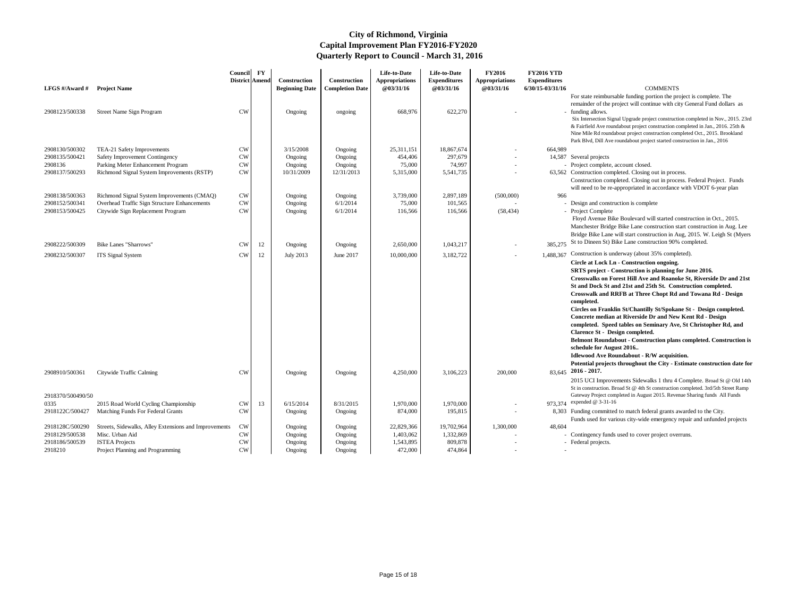| 7 T.V | UA ZIVIIVIL JI V LAZ                                                               |
|-------|------------------------------------------------------------------------------------|
|       | For state reimbursable funding portion the project is complete. The                |
|       | remainder of the project will continue with city General Fund dollars as           |
|       | - funding allows.                                                                  |
|       | Six Intersection Signal Upgrade project construction completed in Nov., 2015. 23rd |
|       | & Fairfield Ave roundabout project construction completed in Jan., 2016. 25th &    |
|       | Nine Mile Rd roundabout project construction completed Oct., 2015. Brookland       |
|       | Park Blvd, Dill Ave roundabout project started construction in Jan., 2016          |
| 989   |                                                                                    |
|       | 587 Several projects                                                               |
|       |                                                                                    |

63,562 Construction completed. Closing out in process. Construction completed. Closing out in process. Federal Project. Funds will need to be re-appropriated in accordance with VDOT 6-year plan

- 
- Design and construction is complete
- 

 Floyd Avenue Bike Boulevard will started construction in Oct., 2015. Manchester Bridge Bike Lane construction start construction in Aug. Lee Bridge Bike Lane will start construction in Aug, 2015. W. Leigh St (Myers 385,275 St to Dineen St) Bike Lane construction 90% completed.

- 1.488.367 Construction is underway (about 35% completed).
	- **Circle at Lock Ln Construction ongoing.**

- 2015 UCI Improvements Sidewalks 1 thru 4 Complete. Broad St @ Old 14th St in construction. Broad St @ 4th St construction completed. 3rd/5th Street Ramp Gateway Project completed in August 2015. Revenue Sharing funds All Funds
- 973,374 expended @ 3-31-16

8,303 Funding committed to match federal grants awarded to the City. Funds used for various city-wide emergency repair and unfunded projects

- - Contingency funds used to cover project overruns.
	-
	-

| LFGS #/Award #                   | <b>Project Name</b>                                                             | Council FY<br>District   Amend |    | Construction<br><b>Beginning Date</b> | Construction<br><b>Completion Date</b> | Life-to-Date<br><b>Appropriations</b><br><b>@03/31/16</b> | Life-to-Date<br><b>Expenditures</b><br>@03/31/16 | <b>FY2016</b><br><b>Appropriations</b><br>@03/31/16 | <b>FY2016 YTD</b><br><b>Expenditures</b><br>6/30/15-03/31/16 | <b>COMMENTS</b>                                                                                         |
|----------------------------------|---------------------------------------------------------------------------------|--------------------------------|----|---------------------------------------|----------------------------------------|-----------------------------------------------------------|--------------------------------------------------|-----------------------------------------------------|--------------------------------------------------------------|---------------------------------------------------------------------------------------------------------|
|                                  |                                                                                 |                                |    |                                       |                                        |                                                           |                                                  |                                                     |                                                              | For state reimbursable funding portion the pr                                                           |
|                                  |                                                                                 |                                |    |                                       |                                        |                                                           |                                                  |                                                     |                                                              | remainder of the project will continue with ci                                                          |
| 2908123/500338                   | Street Name Sign Program                                                        | <b>CW</b>                      |    | Ongoing                               | ongoing                                | 668,976                                                   | 622,270                                          |                                                     |                                                              | - funding allows.                                                                                       |
|                                  |                                                                                 |                                |    |                                       |                                        |                                                           |                                                  |                                                     |                                                              | Six Intersection Signal Upgrade project constructi<br>& Fairfield Ave roundabout project construction c |
|                                  |                                                                                 |                                |    |                                       |                                        |                                                           |                                                  |                                                     |                                                              | Nine Mile Rd roundabout project construction con                                                        |
|                                  |                                                                                 |                                |    |                                       |                                        |                                                           |                                                  |                                                     |                                                              | Park Blvd, Dill Ave roundabout project started cor                                                      |
| 2908130/500302                   | TEA-21 Safety Improvements                                                      | <b>CW</b>                      |    | 3/15/2008                             | Ongoing                                | 25,311,151                                                | 18,867,674                                       |                                                     | 664,989                                                      |                                                                                                         |
| 2908135/500421                   | Safety Improvement Contingency                                                  | <b>CW</b>                      |    | Ongoing                               | Ongoing                                | 454,406<br>75,000                                         | 297,679<br>74,997                                |                                                     |                                                              | 14,587 Several projects                                                                                 |
| 2908136<br>2908137/500293        | Parking Meter Enhancement Program<br>Richmond Signal System Improvements (RSTP) | <b>CW</b><br><b>CW</b>         |    | Ongoing<br>10/31/2009                 | Ongoing<br>12/31/2013                  | 5,315,000                                                 | 5,541,735                                        |                                                     |                                                              | - Project complete, account closed.<br>63,562 Construction completed. Closing out in proce              |
|                                  |                                                                                 |                                |    |                                       |                                        |                                                           |                                                  |                                                     |                                                              | Construction completed. Closing out in proce                                                            |
|                                  |                                                                                 |                                |    |                                       |                                        |                                                           |                                                  |                                                     |                                                              | will need to be re-appropriated in accordance                                                           |
| 2908138/500363                   | Richmond Signal System Improvements (CMAQ)                                      | <b>CW</b>                      |    | Ongoing                               | Ongoing                                | 3,739,000                                                 | 2,897,189                                        | (500,000)                                           | 966                                                          |                                                                                                         |
| 2908152/500341                   | Overhead Traffic Sign Structure Enhancements                                    | <b>CW</b>                      |    | Ongoing                               | 6/1/2014                               | 75,000                                                    | 101,565                                          |                                                     |                                                              | - Design and construction is complete                                                                   |
| 2908153/500425                   | Citywide Sign Replacement Program                                               | <b>CW</b>                      |    | Ongoing                               | 6/1/2014                               | 116,566                                                   | 116,566                                          | (58, 434)                                           |                                                              | - Project Complete                                                                                      |
|                                  |                                                                                 |                                |    |                                       |                                        |                                                           |                                                  |                                                     |                                                              | Floyd Avenue Bike Boulevard will started co                                                             |
|                                  |                                                                                 |                                |    |                                       |                                        |                                                           |                                                  |                                                     |                                                              | Manchester Bridge Bike Lane construction st<br>Bridge Bike Lane will start construction in A            |
|                                  |                                                                                 |                                |    |                                       |                                        |                                                           |                                                  |                                                     |                                                              | St to Dineen St) Bike Lane construction 90%                                                             |
| 2908222/500309                   | <b>Bike Lanes "Sharrows"</b>                                                    | <b>CW</b><br><b>CW</b>         | 12 | Ongoing                               | Ongoing<br>June 2017                   | 2,650,000<br>10,000,000                                   | 1,043,217                                        |                                                     | 385,275<br>1,488,367                                         | Construction is underway (about 35% compl                                                               |
| 2908232/500307                   | <b>ITS</b> Signal System                                                        |                                | 12 | <b>July 2013</b>                      |                                        |                                                           | 3,182,722                                        |                                                     |                                                              | Circle at Lock Ln - Construction ongoing.                                                               |
|                                  |                                                                                 |                                |    |                                       |                                        |                                                           |                                                  |                                                     |                                                              | <b>SRTS</b> project - Construction is planning f                                                        |
|                                  |                                                                                 |                                |    |                                       |                                        |                                                           |                                                  |                                                     |                                                              | <b>Crosswalks on Forest Hill Ave and Roano</b>                                                          |
|                                  |                                                                                 |                                |    |                                       |                                        |                                                           |                                                  |                                                     |                                                              | St and Dock St and 21st and 25th St. Con                                                                |
|                                  |                                                                                 |                                |    |                                       |                                        |                                                           |                                                  |                                                     |                                                              | <b>Crosswalk and RRFB at Three Chopt Rd</b>                                                             |
|                                  |                                                                                 |                                |    |                                       |                                        |                                                           |                                                  |                                                     |                                                              | completed.                                                                                              |
|                                  |                                                                                 |                                |    |                                       |                                        |                                                           |                                                  |                                                     |                                                              | <b>Circles on Franklin St/Chantilly St/Spoka</b><br><b>Concrete median at Riverside Dr and New</b>      |
|                                  |                                                                                 |                                |    |                                       |                                        |                                                           |                                                  |                                                     |                                                              | completed. Speed tables on Seminary Ave                                                                 |
|                                  |                                                                                 |                                |    |                                       |                                        |                                                           |                                                  |                                                     |                                                              | <b>Clarence St - Design completed.</b>                                                                  |
|                                  |                                                                                 |                                |    |                                       |                                        |                                                           |                                                  |                                                     |                                                              | <b>Belmont Roundabout - Construction plan</b>                                                           |
|                                  |                                                                                 |                                |    |                                       |                                        |                                                           |                                                  |                                                     |                                                              | schedule for August 2016                                                                                |
|                                  |                                                                                 |                                |    |                                       |                                        |                                                           |                                                  |                                                     |                                                              | <b>Idlewood Ave Roundabout - R/W acquisit</b>                                                           |
|                                  |                                                                                 |                                |    |                                       |                                        |                                                           |                                                  |                                                     |                                                              | Potential projects throughout the City - E                                                              |
| 2908910/500361                   | Citywide Traffic Calming                                                        | <b>CW</b>                      |    | Ongoing                               | Ongoing                                | 4,250,000                                                 | 3,106,223                                        | 200,000                                             |                                                              | $83,645$ 2016 - 2017.                                                                                   |
|                                  |                                                                                 |                                |    |                                       |                                        |                                                           |                                                  |                                                     |                                                              | 2015 UCI Improvements Sidewalks 1 thru 4<br>St in construction. Broad St @ 4th St construction          |
| 2918370/500490/50                |                                                                                 |                                |    |                                       |                                        |                                                           |                                                  |                                                     |                                                              | Gateway Project completed in August 2015. Reve                                                          |
| 0335                             | 2015 Road World Cycling Championship                                            | <b>CW</b>                      | 13 | 6/15/2014                             | 8/31/2015                              | 1,970,000                                                 | 1,970,000                                        |                                                     |                                                              | 973,374 expended @ 3-31-16                                                                              |
| 2918122C/500427                  | Matching Funds For Federal Grants                                               | <b>CW</b>                      |    | Ongoing                               | Ongoing                                | 874,000                                                   | 195,815                                          |                                                     |                                                              | 8,303 Funding committed to match federal grants a                                                       |
|                                  |                                                                                 |                                |    |                                       |                                        |                                                           |                                                  |                                                     |                                                              | Funds used for various city-wide emergency                                                              |
| 2918128C/500290                  | Streets, Sidewalks, Alley Extensions and Improvements                           | <b>CW</b>                      |    | Ongoing                               | Ongoing                                | 22,829,366                                                | 19,702,964                                       | 1,300,000                                           | 48,604                                                       |                                                                                                         |
| 2918129/500538<br>2918186/500539 | Misc. Urban Aid<br><b>ISTEA Projects</b>                                        | <b>CW</b>                      |    | Ongoing                               | Ongoing                                | 1,403,062<br>1,543,895                                    | 1,332,869<br>809,878                             |                                                     |                                                              | - Contingency funds used to cover project ove                                                           |
| 2918210                          | Project Planning and Programming                                                | <b>CW</b><br><b>CW</b>         |    | Ongoing<br>Ongoing                    | Ongoing<br>Ongoing                     | 472,000                                                   | 474,864                                          |                                                     |                                                              | - Federal projects.                                                                                     |
|                                  |                                                                                 |                                |    |                                       |                                        |                                                           |                                                  |                                                     |                                                              |                                                                                                         |

**SRTS project - Construction is planning for June 2016. Crosswalks on Forest Hill Ave and Roanoke St, Riverside Dr and 21st St and Dock St and 21st and 25th St. Construction completed. Crosswalk and RRFB at Three Chopt Rd and Towana Rd - Design completed. Circles on Franklin St/Chantilly St/Spokane St - Design completed.** 

**Concrete median at Riverside Dr and New Kent Rd - Design completed. Speed tables on Seminary Ave, St Christopher Rd, and Clarence St - Design completed.** 

**Belmont Roundabout - Construction plans completed. Construction is schedule for August 2016..** 

**Idlewood Ave Roundabout - R/W acquisition.** 

**Potential projects throughout the City - Estimate construction date for 2016 - 2017.** 

| 16 YTD   |  |
|----------|--|
| alitunog |  |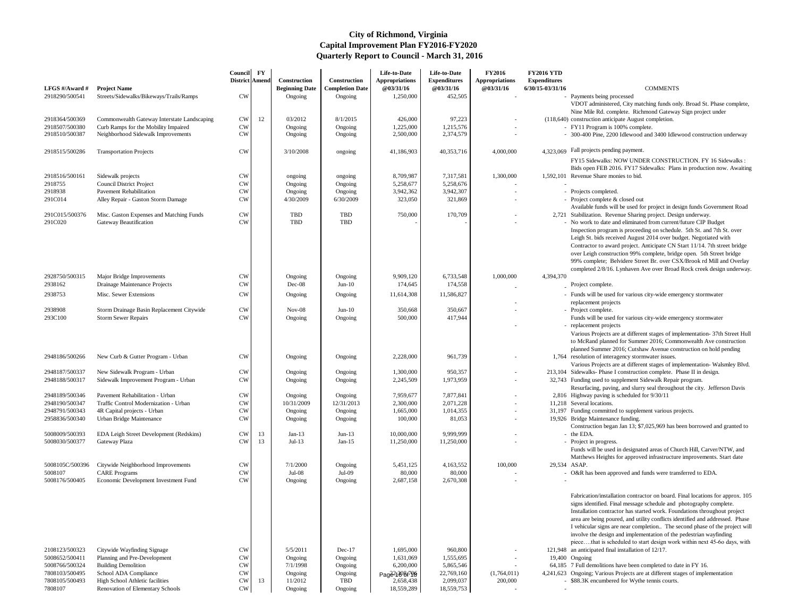| LFGS #/Award #                   | <b>Project Name</b>                                                        | Council FY<br>District Amend |    | Construction<br><b>Beginning Date</b> | Construction<br><b>Completion Date</b> | Life-to-Date<br><b>Appropriations</b><br>@03/31/16 | Life-to-Date<br><b>Expenditures</b><br><b>@03/31/16</b> | <b>FY2016</b><br><b>Appropriations</b><br>@03/31/16 | <b>FY2016 YTD</b><br><b>Expenditures</b><br>6/30/15-03/31/16 | <b>COMMENTS</b>                                                                                                                                                                                                                                                                                                                                                                                                                                 |
|----------------------------------|----------------------------------------------------------------------------|------------------------------|----|---------------------------------------|----------------------------------------|----------------------------------------------------|---------------------------------------------------------|-----------------------------------------------------|--------------------------------------------------------------|-------------------------------------------------------------------------------------------------------------------------------------------------------------------------------------------------------------------------------------------------------------------------------------------------------------------------------------------------------------------------------------------------------------------------------------------------|
| 2918290/500541                   | Streets/Sidewalks/Bikeways/Trails/Ramps                                    | <b>CW</b>                    |    | Ongoing                               | Ongoing                                | 1,250,000                                          | 452,505                                                 |                                                     |                                                              | - Payments being processed<br>VDOT administered, City matching funds only. Broad St. Phase complete,                                                                                                                                                                                                                                                                                                                                            |
|                                  |                                                                            |                              |    |                                       |                                        |                                                    |                                                         |                                                     |                                                              | Nine Mile Rd. complete. Richmond Gateway Sign project under                                                                                                                                                                                                                                                                                                                                                                                     |
| 2918364/500369                   | Commonwealth Gateway Interstate Landscaping                                | <b>CW</b>                    | 12 | 03/2012                               | 8/1/2015                               | 426,000                                            | 97,223                                                  |                                                     |                                                              | (118,640) construction anticipate August completion.                                                                                                                                                                                                                                                                                                                                                                                            |
| 2918507/500380<br>2918510/500387 | Curb Ramps for the Mobility Impaired<br>Neighborhood Sidewalk Improvements | <b>CW</b><br><b>CW</b>       |    | Ongoing<br>Ongoing                    | Ongoing<br>Ongoing                     | 1,225,000<br>2,500,000                             | 1,215,576<br>2,374,579                                  |                                                     |                                                              | - FY11 Program is 100% complete.<br>- 300-400 Pine, 2200 Idlewood and 3400 Idlewood construction underway                                                                                                                                                                                                                                                                                                                                       |
| 2918515/500286                   | <b>Transportation Projects</b>                                             | <b>CW</b>                    |    | 3/10/2008                             | ongoing                                | 41,186,903                                         | 40,353,716                                              | 4,000,000                                           |                                                              | 4.323.069 Fall projects pending payment.                                                                                                                                                                                                                                                                                                                                                                                                        |
|                                  |                                                                            |                              |    |                                       |                                        |                                                    |                                                         |                                                     |                                                              | FY15 Sidewalks: NOW UNDER CONSTRUCTION. FY 16 Sidewalks :<br>Bids open FEB 2016. FY17 Sidewalks: Plans in production now. Awaiting                                                                                                                                                                                                                                                                                                              |
| 2918516/500161<br>2918755        | Sidewalk projects<br><b>Council District Project</b>                       | <b>CW</b><br><b>CW</b>       |    | ongoing                               | ongoing                                | 8,709,987<br>5,258,677                             | 7,317,581<br>5,258,676                                  | 1,300,000                                           |                                                              | 1,592,101 Revenue Share monies to bid.                                                                                                                                                                                                                                                                                                                                                                                                          |
| 2918938                          | <b>Pavement Rehabilitation</b>                                             | <b>CW</b>                    |    | Ongoing<br>Ongoing                    | Ongoing<br>Ongoing                     | 3,942,362                                          | 3,942,307                                               |                                                     |                                                              | - Projects completed.                                                                                                                                                                                                                                                                                                                                                                                                                           |
| 291C014                          | Alley Repair - Gaston Storm Damage                                         | <b>CW</b>                    |    | 4/30/2009                             | 6/30/2009                              | 323,050                                            | 321,869                                                 |                                                     |                                                              | - Project complete & closed out<br>Available funds will be used for project in design funds Government Road                                                                                                                                                                                                                                                                                                                                     |
| 291C015/500376                   | Misc. Gaston Expenses and Matching Funds                                   | <b>CW</b>                    |    | <b>TBD</b>                            | <b>TBD</b>                             | 750,000                                            | 170,709                                                 |                                                     |                                                              | 2,721 Stabilization. Revenue Sharing project. Design underway.                                                                                                                                                                                                                                                                                                                                                                                  |
| 291C020                          | Gateway Beautification                                                     | <b>CW</b>                    |    | <b>TBD</b>                            | TBD                                    |                                                    |                                                         |                                                     |                                                              | - No work to date and eliminated from current/future CIP Budget                                                                                                                                                                                                                                                                                                                                                                                 |
|                                  |                                                                            |                              |    |                                       |                                        |                                                    |                                                         |                                                     |                                                              | Inspection program is proceeding on schedule. 5th St. and 7th St. over<br>Leigh St. bids received August 2014 over budget. Negotiated with<br>Contractor to award project. Anticipate CN Start 11/14. 7th street bridge<br>over Leigh construction 99% complete, bridge open. 5th Street bridge<br>99% complete; Belvidere Street Br. over CSX/Brook rd Mill and Overlay                                                                        |
|                                  |                                                                            |                              |    |                                       |                                        |                                                    |                                                         |                                                     |                                                              | completed 2/8/16. Lynhaven Ave over Broad Rock creek design underway.                                                                                                                                                                                                                                                                                                                                                                           |
| 2928750/500315<br>2938162        | Major Bridge Improvements<br>Drainage Maintenance Projects                 | <b>CW</b><br><b>CW</b>       |    | Ongoing<br>Dec-08                     | Ongoing<br>$Jun-10$                    | 9,909,120<br>174,645                               | 6,733,548<br>174,558                                    | 1,000,000                                           | 4,394,370                                                    | Project complete.                                                                                                                                                                                                                                                                                                                                                                                                                               |
| 2938753                          | Misc. Sewer Extensions                                                     | <b>CW</b>                    |    | Ongoing                               | Ongoing                                | 11,614,308                                         | 11,586,827                                              |                                                     |                                                              | - Funds will be used for various city-wide emergency stormwater                                                                                                                                                                                                                                                                                                                                                                                 |
| 2938908                          | Storm Drainage Basin Replacement Citywide                                  | <b>CW</b>                    |    | $Nov-08$                              | $Jun-10$                               | 350,668                                            | 350,667                                                 |                                                     |                                                              | replacement projects<br>- Project complete.                                                                                                                                                                                                                                                                                                                                                                                                     |
| 293C100                          | <b>Storm Sewer Repairs</b>                                                 | <b>CW</b>                    |    | Ongoing                               | Ongoing                                | 500,000                                            | 417,944                                                 |                                                     |                                                              | Funds will be used for various city-wide emergency stormwater                                                                                                                                                                                                                                                                                                                                                                                   |
|                                  |                                                                            |                              |    |                                       |                                        |                                                    |                                                         |                                                     |                                                              | - replacement projects<br>Various Projects are at different stages of implementation- 37th Street Hull<br>to McRand planned for Summer 2016; Commonwealth Ave construction<br>planned Summer 2016; Cutshaw Avenue construction on hold pending                                                                                                                                                                                                  |
| 2948186/500266                   | New Curb & Gutter Program - Urban                                          | <b>CW</b>                    |    | Ongoing                               | Ongoing                                | 2,228,000                                          | 961,739                                                 |                                                     |                                                              | 1,764 resolution of interagency stormwater issues.<br>Various Projects are at different stages of implementation- Walsmley Blvd.                                                                                                                                                                                                                                                                                                                |
| 2948187/500337                   | New Sidewalk Program - Urban                                               | <b>CW</b>                    |    | Ongoing                               | Ongoing                                | 1,300,000                                          | 950,357                                                 |                                                     |                                                              | 213,104 Sidewalks-Phase I construction complete. Phase II in design.                                                                                                                                                                                                                                                                                                                                                                            |
| 2948188/500317                   | Sidewalk Improvement Program - Urban                                       | <b>CW</b>                    |    | Ongoing                               | Ongoing                                | 2,245,509                                          | 1,973,959                                               |                                                     |                                                              | 32,743 Funding used to supplement Sidewalk Repair program.<br>Resurfacing, paving, and slurry seal throughout the city. Jefferson Davis                                                                                                                                                                                                                                                                                                         |
| 2948189/500346                   | Pavement Rehabilitation - Urban                                            | <b>CW</b>                    |    | Ongoing                               | Ongoing                                | 7,959,677                                          | 7,877,841                                               |                                                     |                                                              | 2,816 Highway paving is scheduled for 9/30/11                                                                                                                                                                                                                                                                                                                                                                                                   |
| 2948190/500347<br>2948791/500343 | Traffic Control Modernization - Urban                                      | <b>CW</b><br><b>CW</b>       |    | 10/31/2009                            | 12/31/2013                             | 2,300,000<br>1,665,000                             | 2,071,228<br>1,014,355                                  |                                                     |                                                              | 11,218 Several locations.<br>31,197 Funding committed to supplement various projects.                                                                                                                                                                                                                                                                                                                                                           |
| 2958836/500340                   | 4R Capital projects - Urban<br>Urban Bridge Maintenance                    | <b>CW</b>                    |    | Ongoing<br>Ongoing                    | Ongoing<br>Ongoing                     | 100,000                                            | 81,053                                                  |                                                     |                                                              | 19,926 Bridge Maintenance funding.                                                                                                                                                                                                                                                                                                                                                                                                              |
| 5008009/500393                   | EDA Leigh Street Development (Redskins)                                    |                              | 13 | Jan-13                                | $Jun-13$                               | 10,000,000                                         | 9,999,999                                               |                                                     |                                                              | Construction began Jan 13; \$7,025,969 has been borrowed and granted to<br>- the EDA.                                                                                                                                                                                                                                                                                                                                                           |
| 5008030/500377                   | Gateway Plaza                                                              | <b>CW</b><br><b>CW</b>       | 13 | $Jul-13$                              | Jan- $15$                              | 11,250,000                                         | 11,250,000                                              |                                                     |                                                              | - Project in progress.                                                                                                                                                                                                                                                                                                                                                                                                                          |
|                                  |                                                                            |                              |    |                                       |                                        |                                                    |                                                         |                                                     |                                                              | Funds will be used in designated areas of Church Hill, Carver/NTW, and<br>Matthews Heights for approved infrastructure improvements. Start date                                                                                                                                                                                                                                                                                                 |
| 5008105C/500396                  | Citywide Neighborhood Improvements                                         | <b>CW</b>                    |    | 7/1/2000                              | Ongoing                                | 5,451,125                                          | 4,163,552                                               | 100,000                                             | 29,534 ASAP.                                                 |                                                                                                                                                                                                                                                                                                                                                                                                                                                 |
| 5008107                          | <b>CARE Programs</b>                                                       | <b>CW</b><br><b>CW</b>       |    | $Jul-08$                              | Jul-09                                 | 80,000                                             | 80,000                                                  |                                                     |                                                              | - O&R has been approved and funds were transferred to EDA.                                                                                                                                                                                                                                                                                                                                                                                      |
| 5008176/500405                   | Economic Development Investment Fund                                       |                              |    | Ongoing                               | Ongoing                                | 2,687,158                                          | 2,670,308                                               |                                                     |                                                              |                                                                                                                                                                                                                                                                                                                                                                                                                                                 |
|                                  |                                                                            |                              |    |                                       |                                        |                                                    |                                                         |                                                     |                                                              | Fabrication/installation contractor on board. Final locations for approx. 105<br>signs identified. Final message schedule and photography complete.                                                                                                                                                                                                                                                                                             |
| 2108123/500323                   | Citywide Wayfinding Signage                                                | <b>CW</b>                    |    | 5/5/2011                              | Dec-17                                 | 1,695,000                                          | 960,800                                                 |                                                     |                                                              | Installation contractor has started work. Foundations throughout project<br>area are being poured, and utility conflicts identified and addressed. Phase<br>I vehicular signs are near completion The second phase of the project will<br>involve the design and implementation of the pedestrian wayfinding<br>piecethat is scheduled to start design work within next 45-60 days, with<br>121,948 an anticipated final installation of 12/17. |
| 5008652/500411                   | Planning and Pre-Development                                               | <b>CW</b>                    |    | Ongoing                               | Ongoing                                | 1,631,069                                          | 1,555,695                                               |                                                     |                                                              | 19,400 Ongoing                                                                                                                                                                                                                                                                                                                                                                                                                                  |
| 5008766/500324                   | <b>Building Demolition</b>                                                 | <b>CW</b>                    |    | 7/1/1998                              | Ongoing                                | 6,200,000                                          | 5,865,546                                               | $\sim$                                              |                                                              | 64,185 7 Full demolitions have been completed to date in FY 16.                                                                                                                                                                                                                                                                                                                                                                                 |
| 7808103/500495                   | School ADA Compliance                                                      | <b>CW</b>                    |    | Ongoing                               | Ongoing                                | Pag <sup>22</sup> 1808f <sup>706</sup>             | 22,769,160                                              | (1,764,011)                                         |                                                              | 4,241,623 Ongoing; Various Projects are at different stages of implementation                                                                                                                                                                                                                                                                                                                                                                   |
| 7808105/500493<br>7808107        | High School Athletic facilities<br>Renovation of Elementary Schools        | <b>CW</b><br><b>CW</b>       | 13 | 11/2012                               | TBD                                    | 2,658,438<br>18,559,289                            | 2,099,037<br>18,559,753                                 | 200,000                                             |                                                              | - \$88.3K encumbered for Wythe tennis courts.                                                                                                                                                                                                                                                                                                                                                                                                   |
|                                  |                                                                            |                              |    | Ongoing                               | Ongoing                                |                                                    |                                                         |                                                     |                                                              |                                                                                                                                                                                                                                                                                                                                                                                                                                                 |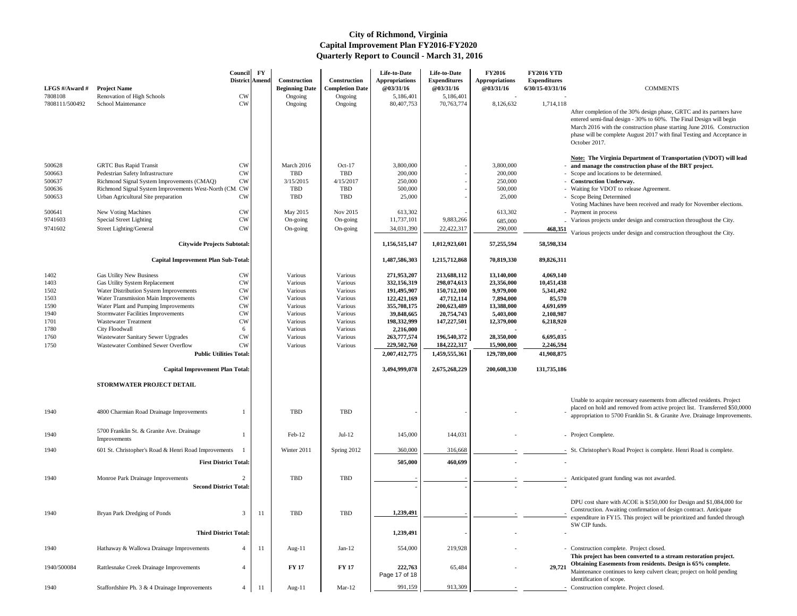After completion of the 30% design phase, GRTC and its partners have entered semi-final design - 30% to 60%. The Final Design will begin March 2016 with the construction phase starting June 2016. Construction phase will be complete August 2017 with final Testing and Acceptance in October 2017.

### **Note: The Virginia Department of Transportation (VDOT) will lead and manage the construction phase of the BRT project.**

- Scope and locations to be determined.
- Construction Underway.
- Waiting for VDOT to release Agreement.
- Scope Being Determined
- Voting Machines have been received and ready for November elections.
- Payment in process
- Various projects under design and construction throughout the City.

**468,351** Various projects under design and construction throughout the City.

| LFGS #/Award #<br>7808108 | <b>Project Name</b><br>Renovation of High Schools                                            | <b>Council</b><br>District Amend<br><b>CW</b> | <b>FY</b> | <b>Construction</b><br><b>Beginning Date</b><br>Ongoing | Construction<br><b>Completion Date</b><br>Ongoing | Life-to-Date<br><b>Appropriations</b><br><b>@03/31/16</b><br>5,186,401 | Life-to-Date<br><b>Expenditures</b><br>@03/31/16<br>5,186,401 | <b>FY2016</b><br><b>Appropriations</b><br>@03/31/16 | <b>FY2016 YTD</b><br><b>Expenditures</b><br>6/30/15-03/31/16 | <b>COMMENTS</b>                                                                                                                                                                                            |
|---------------------------|----------------------------------------------------------------------------------------------|-----------------------------------------------|-----------|---------------------------------------------------------|---------------------------------------------------|------------------------------------------------------------------------|---------------------------------------------------------------|-----------------------------------------------------|--------------------------------------------------------------|------------------------------------------------------------------------------------------------------------------------------------------------------------------------------------------------------------|
| 7808111/500492            | School Maintenance                                                                           | <b>CW</b>                                     |           | Ongoing                                                 | Ongoing                                           | 80,407,753                                                             | 70,763,774                                                    | 8,126,632                                           | 1,714,118                                                    | After completion of the 30% design phase, G<br>entered semi-final design - 30% to 60%. The<br>March 2016 with the construction phase star<br>phase will be complete August 2017 with fina<br>October 2017. |
| 500628                    | <b>GRTC Bus Rapid Transit</b>                                                                | <b>CW</b>                                     |           | March 2016                                              | $Oct-17$                                          | 3,800,000                                                              |                                                               | 3,800,000                                           |                                                              | <b>Note: The Virginia Department of Transp</b><br>- and manage the construction phase of the                                                                                                               |
| 500663                    | Pedestrian Safety Infrastructure                                                             | <b>CW</b>                                     |           | <b>TBD</b>                                              | <b>TBD</b>                                        | 200,000                                                                |                                                               | 200,000                                             |                                                              | - Scope and locations to be determined.                                                                                                                                                                    |
| 500637                    | Richmond Signal System Improvements (CMAQ)                                                   | <b>CW</b>                                     |           | 3/15/2015                                               | 4/15/2017                                         | 250,000                                                                |                                                               | 250,000                                             |                                                              | - Construction Underway.                                                                                                                                                                                   |
| 500636<br>500653          | Richmond Signal System Improvements West-North (CM_CW<br>Urban Agricultural Site preparation | <b>CW</b>                                     |           | TBD<br>TBD                                              | <b>TBD</b><br><b>TBD</b>                          | 500,000<br>25,000                                                      |                                                               | 500,000<br>25,000                                   |                                                              | - Waiting for VDOT to release Agreement.<br>- Scope Being Determined<br>Voting Machines have been received and rea-                                                                                        |
| 500641                    | New Voting Machines                                                                          | <b>CW</b>                                     |           | May 2015                                                | Nov 2015                                          | 613,302                                                                |                                                               | 613,302                                             |                                                              | - Payment in process                                                                                                                                                                                       |
| 9741603                   | <b>Special Street Lighting</b>                                                               | <b>CW</b>                                     |           | On-going                                                | On-going                                          | 11,737,101                                                             | 9,883,266                                                     | 685,000                                             |                                                              | - Various projects under design and construction                                                                                                                                                           |
| 9741602                   | Street Lighting/General                                                                      | <b>CW</b>                                     |           | On-going                                                | On-going                                          | 34,031,390                                                             | 22,422,317                                                    | 290,000                                             | 468,351                                                      | Various projects under design and constructi-                                                                                                                                                              |
|                           | <b>Citywide Projects Subtotal:</b>                                                           |                                               |           |                                                         |                                                   | 1,156,515,147                                                          | 1,012,923,601                                                 | 57,255,594                                          | 58,598,334                                                   |                                                                                                                                                                                                            |
|                           | <b>Capital Improvement Plan Sub-Total:</b>                                                   |                                               |           |                                                         |                                                   | 1,487,586,303                                                          | 1,215,712,868                                                 | 70,819,330                                          | 89,826,311                                                   |                                                                                                                                                                                                            |
| 1402                      | <b>Gas Utility New Business</b>                                                              | <b>CW</b>                                     |           | Various                                                 | Various                                           | 271,953,207                                                            | 213,688,112                                                   | 13,140,000                                          | 4,069,140                                                    |                                                                                                                                                                                                            |
| 1403                      | Gas Utility System Replacement                                                               | <b>CW</b>                                     |           | Various                                                 | Various                                           | 332,156,319                                                            | 298,074,613                                                   | 23,356,000                                          | 10,451,438                                                   |                                                                                                                                                                                                            |
| 1502                      | Water Distribution System Improvements                                                       | <b>CW</b>                                     |           | Various                                                 | Various                                           | 191,495,907                                                            | 150,712,100                                                   | 9,979,000                                           | 5,341,492                                                    |                                                                                                                                                                                                            |
| 1503                      | Water Transmission Main Improvements                                                         | <b>CW</b>                                     |           | Various                                                 | Various                                           | 122,421,169                                                            | 47,712,114                                                    | 7,894,000                                           | 85,570                                                       |                                                                                                                                                                                                            |
| 1590                      | Water Plant and Pumping Improvements                                                         | <b>CW</b><br><b>CW</b>                        |           | Various<br>Various                                      | Various<br>Various                                | 355,708,175                                                            | 200,623,489                                                   | 13,388,000                                          | 4,691,699                                                    |                                                                                                                                                                                                            |
| 1940<br>1701              | <b>Stormwater Facilities Improvements</b><br><b>Wastewater Treatment</b>                     | <b>CW</b>                                     |           | Various                                                 | Various                                           | 39,848,665<br>198,332,999                                              | 20,754,743<br>147,227,501                                     | 5,403,000<br>12,379,000                             | 2,108,987<br>6,218,920                                       |                                                                                                                                                                                                            |
| 1780                      | City Floodwall                                                                               | 6                                             |           | Various                                                 | Various                                           | 2,216,000                                                              |                                                               |                                                     |                                                              |                                                                                                                                                                                                            |
| 1760                      | <b>Wastewater Sanitary Sewer Upgrades</b>                                                    | CW                                            |           | Various                                                 | Various                                           | 263,777,574                                                            | 196,540,372                                                   | 28,350,000                                          | 6,695,035                                                    |                                                                                                                                                                                                            |
| 1750                      | Wastewater Combined Sewer Overflow                                                           | <b>CW</b>                                     |           | Various                                                 | Various                                           | 229,502,760                                                            | 184,222,317                                                   | 15,900,000                                          | 2,246,594                                                    |                                                                                                                                                                                                            |
|                           | <b>Public Utilities Total:</b>                                                               |                                               |           |                                                         |                                                   | 2,007,412,775                                                          | 1,459,555,361                                                 | 129,789,000                                         | 41,908,875                                                   |                                                                                                                                                                                                            |
|                           | <b>Capital Improvement Plan Total:</b>                                                       |                                               |           |                                                         |                                                   | 3,494,999,078                                                          | 2,675,268,229                                                 | 200,608,330                                         | 131,735,186                                                  |                                                                                                                                                                                                            |
|                           | STORMWATER PROJECT DETAIL                                                                    |                                               |           |                                                         |                                                   |                                                                        |                                                               |                                                     |                                                              |                                                                                                                                                                                                            |
| 1940                      | 4800 Charmian Road Drainage Improvements                                                     |                                               |           | TBD                                                     | <b>TBD</b>                                        |                                                                        |                                                               |                                                     |                                                              | Unable to acquire necessary easements from<br>placed on hold and removed from active proj<br>appropriation to 5700 Franklin St. & Granite                                                                  |
| 1940                      | 5700 Franklin St. & Granite Ave. Drainage<br>Improvements                                    |                                               |           | Feb-12                                                  | $Jul-12$                                          | 145,000                                                                | 144,031                                                       |                                                     |                                                              | - Project Complete.                                                                                                                                                                                        |
| 1940                      | 601 St. Christopher's Road & Henri Road Improvements                                         |                                               |           | Winter 2011                                             | Spring 2012                                       | 360,000                                                                | 316,668                                                       |                                                     |                                                              | - St. Christopher's Road Project is complete. F                                                                                                                                                            |
|                           |                                                                                              | <b>First District Total:</b>                  |           |                                                         |                                                   | 505,000                                                                | 460,699                                                       |                                                     |                                                              |                                                                                                                                                                                                            |
| 1940                      | Monroe Park Drainage Improvements<br><b>Second District Total:</b>                           |                                               |           | TBD                                                     | <b>TBD</b>                                        |                                                                        |                                                               |                                                     |                                                              | - Anticipated grant funding was not awarded.                                                                                                                                                               |
|                           |                                                                                              |                                               |           |                                                         |                                                   |                                                                        |                                                               |                                                     |                                                              | DPU cost share with ACOE is \$150,000 for                                                                                                                                                                  |
| 1940                      | Bryan Park Dredging of Ponds                                                                 |                                               | -11       | TBD                                                     | <b>TBD</b>                                        | 1,239,491                                                              |                                                               |                                                     |                                                              | Construction. Awaiting confirmation of desig<br>expenditure in FY15. This project will be prior                                                                                                            |
|                           |                                                                                              | <b>Third District Total:</b>                  |           |                                                         |                                                   | 1,239,491                                                              |                                                               |                                                     |                                                              | SW CIP funds.                                                                                                                                                                                              |
| 1940                      | Hathaway & Wallowa Drainage Improvements                                                     | $\overline{4}$                                | -11       | Aug- $11$                                               | Jan- $12$                                         | 554,000                                                                | 219,928                                                       |                                                     |                                                              | - Construction complete. Project closed.<br>This project has been converted to a strea                                                                                                                     |
| 1940/500084               | Rattlesnake Creek Drainage Improvements                                                      |                                               |           | <b>FY 17</b>                                            | <b>FY 17</b>                                      | 222,763<br>Page 17 of 18                                               | 65,484                                                        |                                                     | 29,721                                                       | <b>Obtaining Easements from residents. Desi</b><br>Maintenance continues to keep culvert clean;<br>identification of scope.                                                                                |
| 1940                      | Staffordshire Ph. 3 & 4 Drainage Improvements                                                | 4                                             | -11       | Aug- $11$                                               | $Mar-12$                                          | 991,159                                                                | 913,309                                                       |                                                     |                                                              | Construction complete. Project closed.                                                                                                                                                                     |

Unable to acquire necessary easements from affected residents. Project placed on hold and removed from active project list. Transferred \$50,0000 appropriation to 5700 Franklin St. & Granite Ave. Drainage Improvements.

- 
- 1940 St. Christopher's Road Project is complete. Henri Road is complete.
- Anticipated grant funding was not awarded.

DPU cost share with ACOE is \$150,000 for Design and \$1,084,000 for Construction. Awaiting confirmation of design contract. Anticipate expenditure in FY15. This project will be prioritized and funded through SW CIP funds.

- Construction complete. Project closed. **This project has been converted to a stream restoration project. Obtaining Easements from residents. Design is 65% complete.** Maintenance continues to keep culvert clean; project on hold pending identification of scope.
- Construction complete. Project closed.